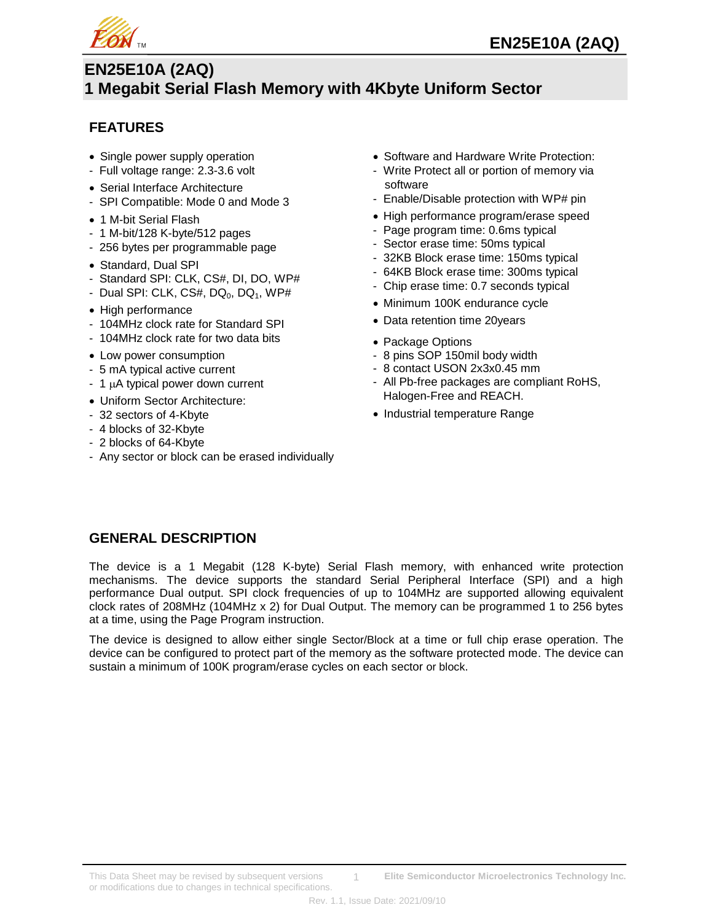

# **EN25E10A (2AQ) 1 Megabit Serial Flash Memory with 4Kbyte Uniform Sector**

# **FEATURES**

- Single power supply operation
- Full voltage range: 2.3-3.6 volt
- Serial Interface Architecture
- SPI Compatible: Mode 0 and Mode 3
- 1 M-bit Serial Flash
- 1 M-bit/128 K-byte/512 pages
- 256 bytes per programmable page
- Standard, Dual SPI
- Standard SPI: CLK, CS#, DI, DO, WP#
- Dual SPI: CLK, CS#, DQ $<sub>0</sub>$ , DQ $<sub>1</sub>$ , WP#</sub></sub>
- High performance
- 104MHz clock rate for Standard SPI
- 104MHz clock rate for two data bits
- Low power consumption
- 5 mA typical active current
- $-1$   $\mu$ A typical power down current
- Uniform Sector Architecture:
- 32 sectors of 4-Kbyte
- 4 blocks of 32-Kbyte
- 2 blocks of 64-Kbyte
- Any sector or block can be erased individually
- Software and Hardware Write Protection:
- Write Protect all or portion of memory via software
- Enable/Disable protection with WP# pin
- High performance program/erase speed
- Page program time: 0.6ms typical
- Sector erase time: 50ms typical
- 32KB Block erase time: 150ms typical
- 64KB Block erase time: 300ms typical
- Chip erase time: 0.7 seconds typical
- Minimum 100K endurance cycle
- Data retention time 20years
- Package Options
- 8 pins SOP 150mil body width
- 8 contact USON 2x3x0.45 mm
- All Pb-free packages are compliant RoHS, Halogen-Free and REACH.
- Industrial temperature Range

# **GENERAL DESCRIPTION**

The device is a 1 Megabit (128 K-byte) Serial Flash memory, with enhanced write protection mechanisms. The device supports the standard Serial Peripheral Interface (SPI) and a high performance Dual output. SPI clock frequencies of up to 104MHz are supported allowing equivalent clock rates of 208MHz (104MHz x 2) for Dual Output. The memory can be programmed 1 to 256 bytes at a time, using the Page Program instruction.

The device is designed to allow either single Sector/Block at a time or full chip erase operation. The device can be configured to protect part of the memory as the software protected mode. The device can sustain a minimum of 100K program/erase cycles on each sector or block.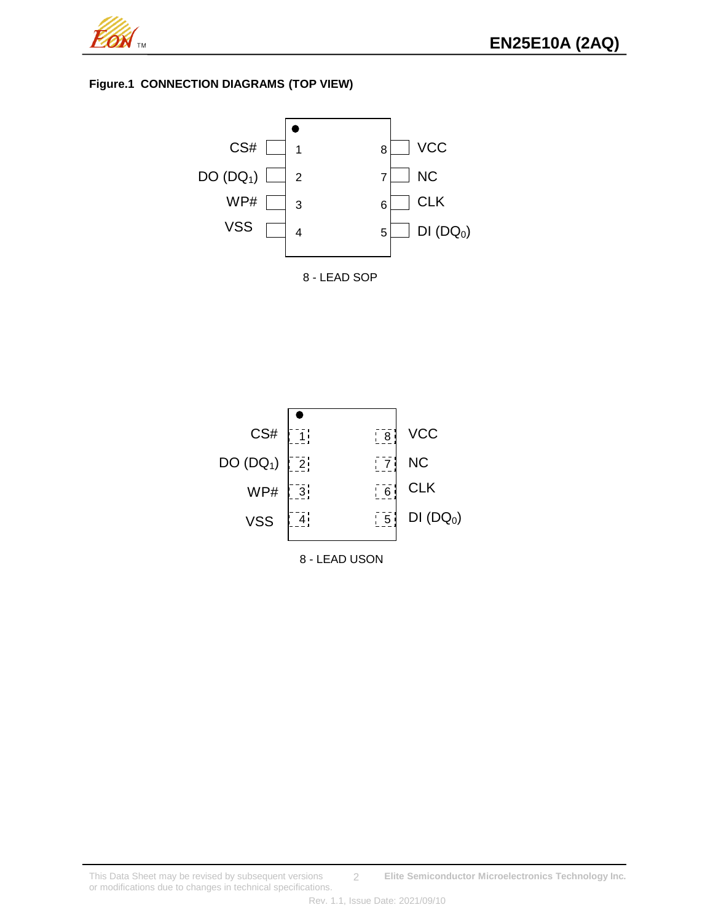

## **Figure.1 CONNECTION DIAGRAMS (TOP VIEW)**





This Data Sheet may be revised by subsequent versions **Elite Semiconductor Microelectronics Technology Inc.** or modifications due to changes in technical specifications. 2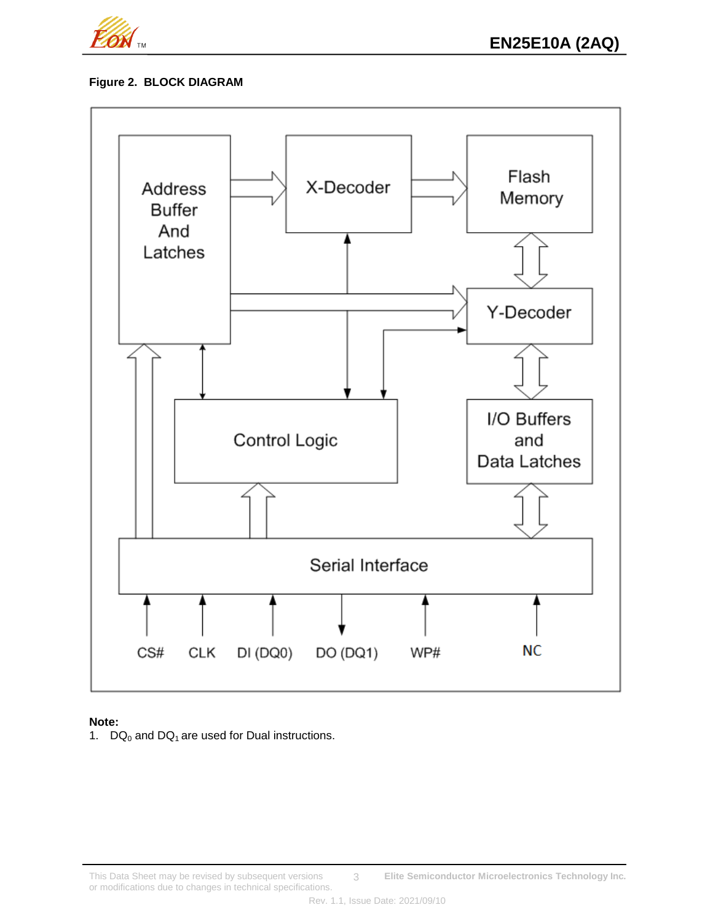

## **Figure 2. BLOCK DIAGRAM**



## **Note:**

1.  $DQ_0$  and  $DQ_1$  are used for Dual instructions.

This Data Sheet may be revised by subsequent versions **Elite Semiconductor Microelectronics Technology Inc.** or modifications due to changes in technical specifications. 3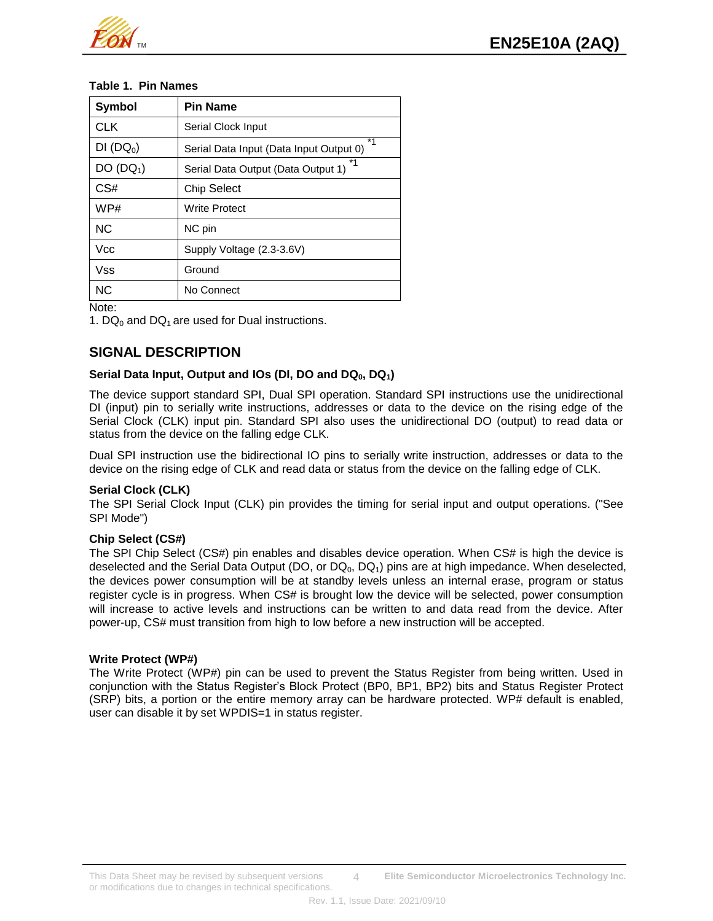

### **Table 1. Pin Names**

| <b>Symbol</b>         | <b>Pin Name</b>                               |
|-----------------------|-----------------------------------------------|
| <b>CLK</b>            | Serial Clock Input                            |
| DI (DQ <sub>0</sub> ) | *1<br>Serial Data Input (Data Input Output 0) |
| DO (DQ <sub>1</sub> ) | *1<br>Serial Data Output (Data Output 1)      |
| CS#                   | <b>Chip Select</b>                            |
| WP#                   | <b>Write Protect</b>                          |
| <b>NC</b>             | NC pin                                        |
| Vcc                   | Supply Voltage (2.3-3.6V)                     |
| Vss                   | Ground                                        |
| <b>NC</b>             | No Connect                                    |

Note:

1. DQ<sub>0</sub> and DQ<sub>1</sub> are used for Dual instructions.

# **SIGNAL DESCRIPTION**

### **Serial Data Input, Output and IOs (DI, DO and DQ0, DQ1)**

The device support standard SPI, Dual SPI operation. Standard SPI instructions use the unidirectional DI (input) pin to serially write instructions, addresses or data to the device on the rising edge of the Serial Clock (CLK) input pin. Standard SPI also uses the unidirectional DO (output) to read data or status from the device on the falling edge CLK.

Dual SPI instruction use the bidirectional IO pins to serially write instruction, addresses or data to the device on the rising edge of CLK and read data or status from the device on the falling edge of CLK.

## **Serial Clock (CLK)**

The SPI Serial Clock Input (CLK) pin provides the timing for serial input and output operations. ("See SPI Mode")

#### **Chip Select (CS#)**

The SPI Chip Select (CS#) pin enables and disables device operation. When CS# is high the device is deselected and the Serial Data Output (DO, or DQ<sub>0</sub>, DQ<sub>1</sub>) pins are at high impedance. When deselected, the devices power consumption will be at standby levels unless an internal erase, program or status register cycle is in progress. When CS# is brought low the device will be selected, power consumption will increase to active levels and instructions can be written to and data read from the device. After power-up, CS# must transition from high to low before a new instruction will be accepted.

#### **Write Protect (WP#)**

The Write Protect (WP#) pin can be used to prevent the Status Register from being written. Used in conjunction with the Status Register's Block Protect (BP0, BP1, BP2) bits and Status Register Protect (SRP) bits, a portion or the entire memory array can be hardware protected. WP# default is enabled, user can disable it by set WPDIS=1 in status register.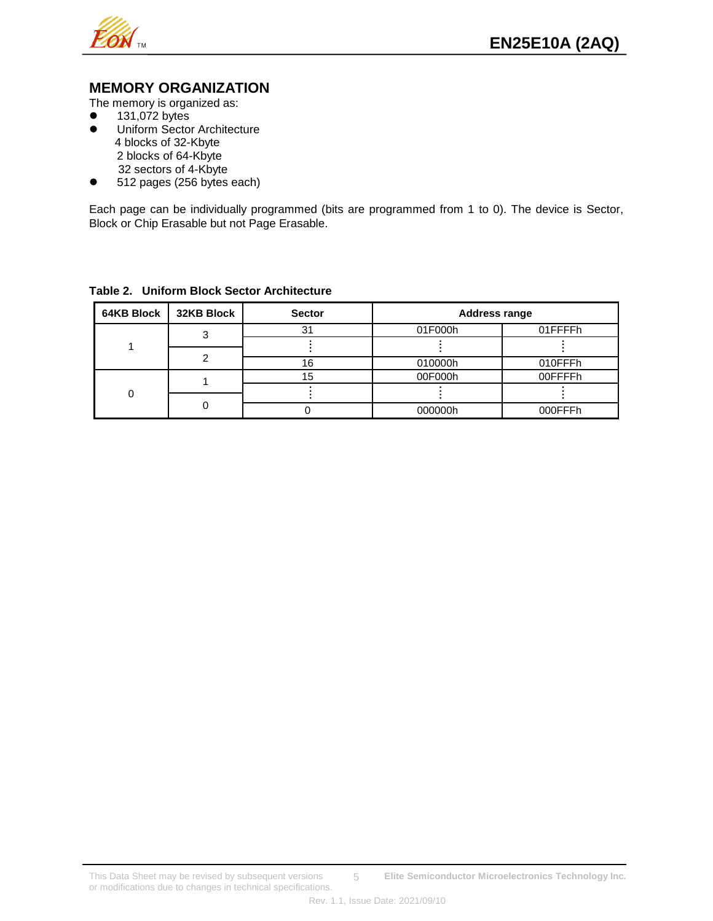

## **MEMORY ORGANIZATION**

The memory is organized as:

- $\bullet$  131,072 bytes
- **•** Uniform Sector Architecture 4 blocks of 32-Kbyte 2 blocks of 64-Kbyte 32 sectors of 4-Kbyte
- 512 pages (256 bytes each)

Each page can be individually programmed (bits are programmed from 1 to 0). The device is Sector, Block or Chip Erasable but not Page Erasable.

| 64KB Block | <b>32KB Block</b> | <b>Sector</b> | <b>Address range</b> |         |  |
|------------|-------------------|---------------|----------------------|---------|--|
|            |                   | 3             | 01F000h              | 01FFFFh |  |
|            |                   |               |                      |         |  |
|            |                   | 16            | 010000h              | 010FFFh |  |
|            |                   | 15            | 00F000h              | 00FFFFh |  |
| 0          |                   |               |                      |         |  |
|            |                   |               | 000000h              | 000FFFh |  |

## **Table 2. Uniform Block Sector Architecture**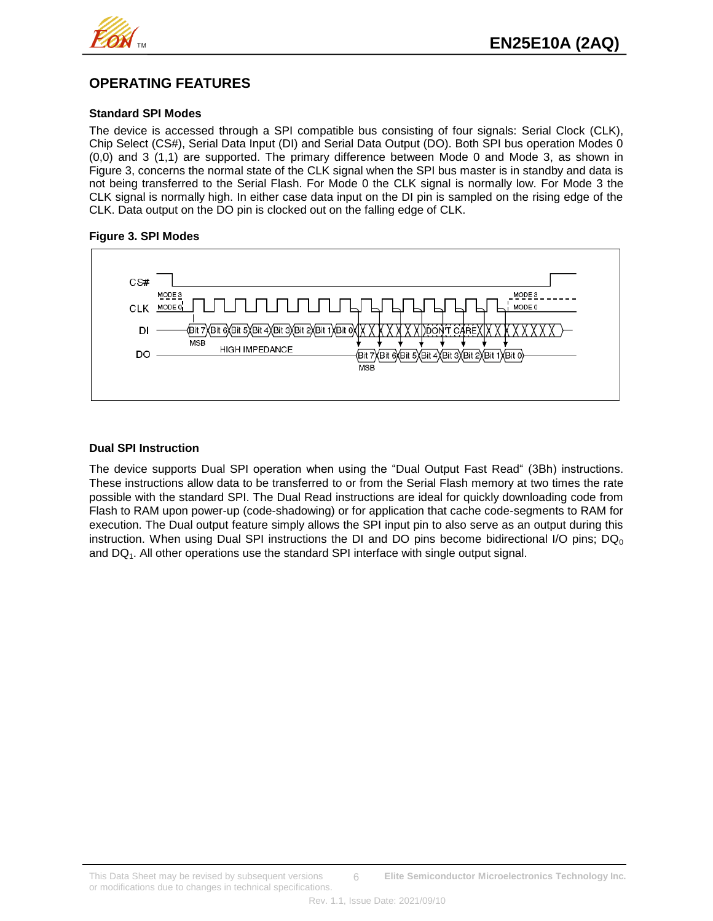

# **OPERATING FEATURES**

## **Standard SPI Modes**

The device is accessed through a SPI compatible bus consisting of four signals: Serial Clock (CLK), Chip Select (CS#), Serial Data Input (DI) and Serial Data Output (DO). Both SPI bus operation Modes 0 (0,0) and 3 (1,1) are supported. The primary difference between Mode 0 and Mode 3, as shown in Figure 3, concerns the normal state of the CLK signal when the SPI bus master is in standby and data is not being transferred to the Serial Flash. For Mode 0 the CLK signal is normally low. For Mode 3 the CLK signal is normally high. In either case data input on the DI pin is sampled on the rising edge of the CLK. Data output on the DO pin is clocked out on the falling edge of CLK.

#### **Figure 3. SPI Modes**



### **Dual SPI Instruction**

The device supports Dual SPI operation when using the "Dual Output Fast Read" (3Bh) instructions. These instructions allow data to be transferred to or from the Serial Flash memory at two times the rate possible with the standard SPI. The Dual Read instructions are ideal for quickly downloading code from Flash to RAM upon power-up (code-shadowing) or for application that cache code-segments to RAM for execution. The Dual output feature simply allows the SPI input pin to also serve as an output during this instruction. When using Dual SPI instructions the DI and DO pins become bidirectional I/O pins;  $DQ_0$ and  $DQ<sub>1</sub>$ . All other operations use the standard SPI interface with single output signal.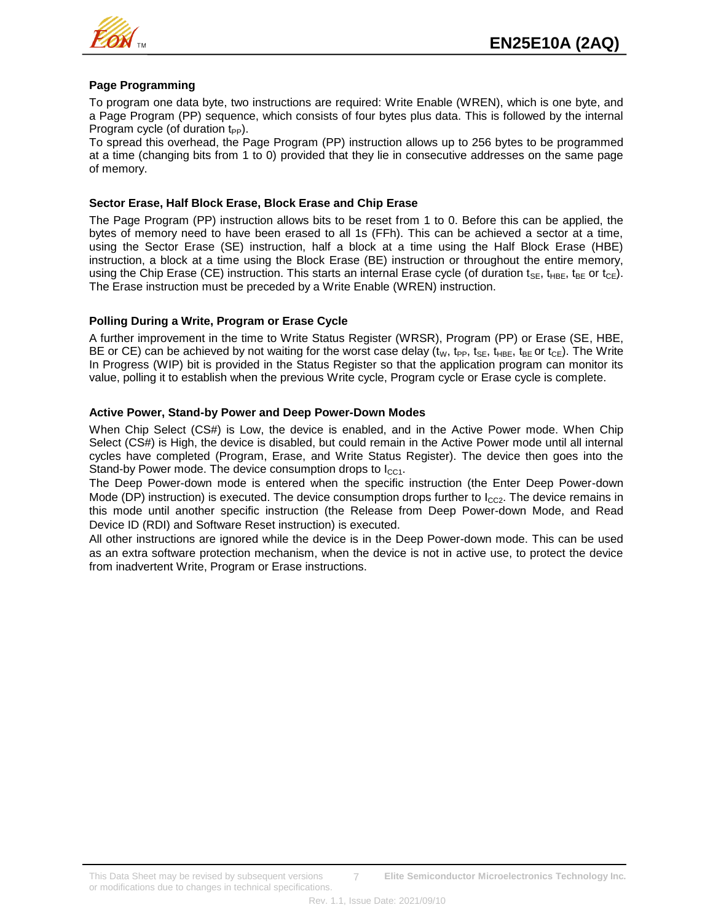

#### **Page Programming**

To program one data byte, two instructions are required: Write Enable (WREN), which is one byte, and a Page Program (PP) sequence, which consists of four bytes plus data. This is followed by the internal Program cycle (of duration  $t_{PP}$ ).

To spread this overhead, the Page Program (PP) instruction allows up to 256 bytes to be programmed at a time (changing bits from 1 to 0) provided that they lie in consecutive addresses on the same page of memory.

#### **Sector Erase, Half Block Erase, Block Erase and Chip Erase**

The Page Program (PP) instruction allows bits to be reset from 1 to 0. Before this can be applied, the bytes of memory need to have been erased to all 1s (FFh). This can be achieved a sector at a time, using the Sector Erase (SE) instruction, half a block at a time using the Half Block Erase (HBE) instruction, a block at a time using the Block Erase (BE) instruction or throughout the entire memory, using the Chip Erase (CE) instruction. This starts an internal Erase cycle (of duration t<sub>SE</sub>, t<sub>HBE</sub>, t<sub>BE</sub> or t<sub>CE</sub>). The Erase instruction must be preceded by a Write Enable (WREN) instruction.

#### **Polling During a Write, Program or Erase Cycle**

A further improvement in the time to Write Status Register (WRSR), Program (PP) or Erase (SE, HBE, BE or CE) can be achieved by not waiting for the worst case delay ( $t_W$ ,  $t_{PP}$ ,  $t_{SE}$ ,  $t_{HBE}$ ,  $t_{BE}$  or  $t_{CE}$ ). The Write In Progress (WIP) bit is provided in the Status Register so that the application program can monitor its value, polling it to establish when the previous Write cycle, Program cycle or Erase cycle is complete.

#### **Active Power, Stand-by Power and Deep Power-Down Modes**

When Chip Select (CS#) is Low, the device is enabled, and in the Active Power mode. When Chip Select (CS#) is High, the device is disabled, but could remain in the Active Power mode until all internal cycles have completed (Program, Erase, and Write Status Register). The device then goes into the Stand-by Power mode. The device consumption drops to  $I_{CC1}$ .

The Deep Power-down mode is entered when the specific instruction (the Enter Deep Power-down Mode (DP) instruction) is executed. The device consumption drops further to  $I_{CC2}$ . The device remains in this mode until another specific instruction (the Release from Deep Power-down Mode, and Read Device ID (RDI) and Software Reset instruction) is executed.

All other instructions are ignored while the device is in the Deep Power-down mode. This can be used as an extra software protection mechanism, when the device is not in active use, to protect the device from inadvertent Write, Program or Erase instructions.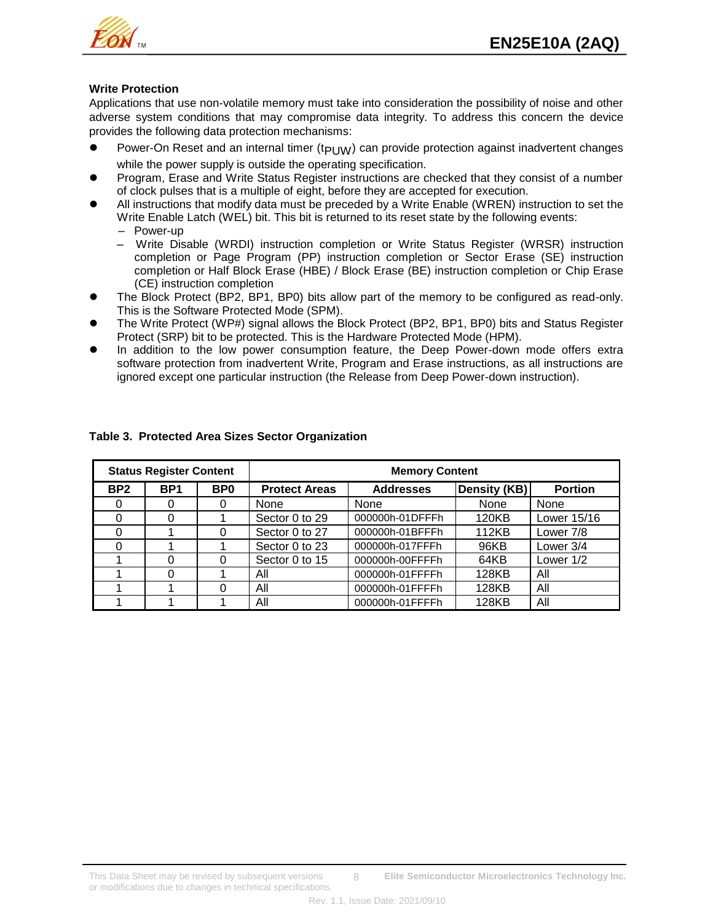

## **Write Protection**

Applications that use non-volatile memory must take into consideration the possibility of noise and other adverse system conditions that may compromise data integrity. To address this concern the device provides the following data protection mechanisms:

- Power-On Reset and an internal timer ( $t_{PI\,$  IW) can provide protection against inadvertent changes while the power supply is outside the operating specification.
- Program, Erase and Write Status Register instructions are checked that they consist of a number of clock pulses that is a multiple of eight, before they are accepted for execution.
- All instructions that modify data must be preceded by a Write Enable (WREN) instruction to set the Write Enable Latch (WEL) bit. This bit is returned to its reset state by the following events: – Power-up
	- Write Disable (WRDI) instruction completion or Write Status Register (WRSR) instruction completion or Page Program (PP) instruction completion or Sector Erase (SE) instruction completion or Half Block Erase (HBE) / Block Erase (BE) instruction completion or Chip Erase (CE) instruction completion
- The Block Protect (BP2, BP1, BP0) bits allow part of the memory to be configured as read-only. This is the Software Protected Mode (SPM).
- The Write Protect (WP#) signal allows the Block Protect (BP2, BP1, BP0) bits and Status Register Protect (SRP) bit to be protected. This is the Hardware Protected Mode (HPM).
- In addition to the low power consumption feature, the Deep Power-down mode offers extra software protection from inadvertent Write, Program and Erase instructions, as all instructions are ignored except one particular instruction (the Release from Deep Power-down instruction).

| <b>Status Register Content</b> |                 |                 | <b>Memory Content</b> |                  |              |                |  |
|--------------------------------|-----------------|-----------------|-----------------------|------------------|--------------|----------------|--|
| BP <sub>2</sub>                | BP <sub>1</sub> | B <sub>P0</sub> | <b>Protect Areas</b>  | <b>Addresses</b> | Density (KB) | <b>Portion</b> |  |
|                                |                 | 0               | None                  | None             | <b>None</b>  | None           |  |
|                                |                 |                 | Sector 0 to 29        | 000000h-01DFFFh  | 120KB        | Lower 15/16    |  |
|                                |                 | 0               | Sector 0 to 27        | 000000h-01BFFFh  | 112KB        | Lower 7/8      |  |
|                                |                 |                 | Sector 0 to 23        | 000000h-017FFFh  | 96KB         | Lower 3/4      |  |
|                                |                 | 0               | Sector 0 to 15        | 000000h-00FFFFh  | 64KB         | Lower $1/2$    |  |
|                                |                 |                 | All                   | 000000h-01FFFFh  | 128KB        | All            |  |
|                                |                 | 0               | All                   | 000000h-01FFFFh  | 128KB        | All            |  |
|                                |                 |                 | All                   | 000000h-01FFFFh  | 128KB        | All            |  |

### **Table 3. Protected Area Sizes Sector Organization**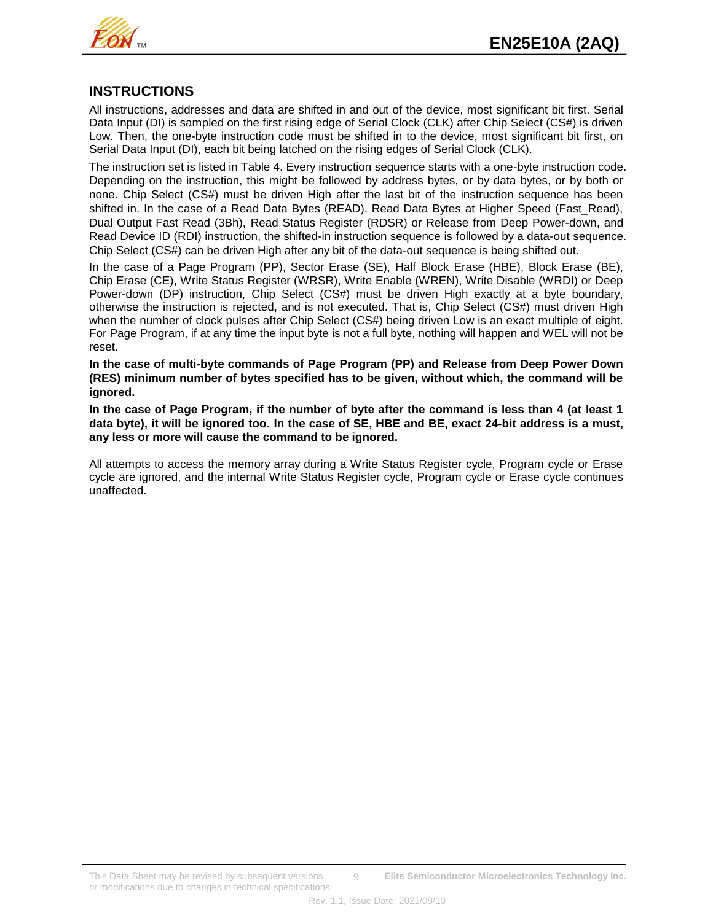

## **INSTRUCTIONS**

All instructions, addresses and data are shifted in and out of the device, most significant bit first. Serial Data Input (DI) is sampled on the first rising edge of Serial Clock (CLK) after Chip Select (CS#) is driven Low. Then, the one-byte instruction code must be shifted in to the device, most significant bit first, on Serial Data Input (DI), each bit being latched on the rising edges of Serial Clock (CLK).

The instruction set is listed in Table 4. Every instruction sequence starts with a one-byte instruction code. Depending on the instruction, this might be followed by address bytes, or by data bytes, or by both or none. Chip Select (CS#) must be driven High after the last bit of the instruction sequence has been shifted in. In the case of a Read Data Bytes (READ), Read Data Bytes at Higher Speed (Fast Read), Dual Output Fast Read (3Bh), Read Status Register (RDSR) or Release from Deep Power-down, and Read Device ID (RDI) instruction, the shifted-in instruction sequence is followed by a data-out sequence. Chip Select (CS#) can be driven High after any bit of the data-out sequence is being shifted out.

In the case of a Page Program (PP), Sector Erase (SE), Half Block Erase (HBE), Block Erase (BE), Chip Erase (CE), Write Status Register (WRSR), Write Enable (WREN), Write Disable (WRDI) or Deep Power-down (DP) instruction, Chip Select (CS#) must be driven High exactly at a byte boundary, otherwise the instruction is rejected, and is not executed. That is, Chip Select (CS#) must driven High when the number of clock pulses after Chip Select (CS#) being driven Low is an exact multiple of eight. For Page Program, if at any time the input byte is not a full byte, nothing will happen and WEL will not be reset.

**In the case of multi-byte commands of Page Program (PP) and Release from Deep Power Down (RES) minimum number of bytes specified has to be given, without which, the command will be ignored.**

**In the case of Page Program, if the number of byte after the command is less than 4 (at least 1 data byte), it will be ignored too. In the case of SE, HBE and BE, exact 24-bit address is a must, any less or more will cause the command to be ignored.**

All attempts to access the memory array during a Write Status Register cycle, Program cycle or Erase cycle are ignored, and the internal Write Status Register cycle, Program cycle or Erase cycle continues unaffected.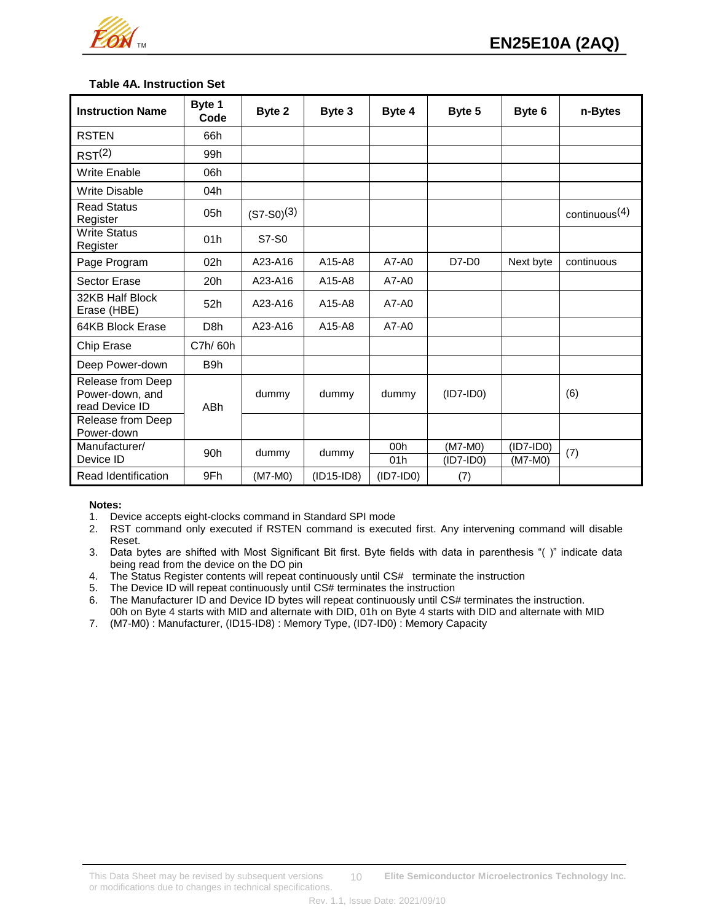

## **Table 4A. Instruction Set**

| <b>Instruction Name</b>                                | Byte 1<br>Code   | Byte 2          | Byte 3       | Byte 4      | Byte 5                 | Byte 6                 | n-Bytes          |
|--------------------------------------------------------|------------------|-----------------|--------------|-------------|------------------------|------------------------|------------------|
| <b>RSTEN</b>                                           | 66h              |                 |              |             |                        |                        |                  |
| RST <sup>(2)</sup>                                     | 99h              |                 |              |             |                        |                        |                  |
| <b>Write Enable</b>                                    | 06h              |                 |              |             |                        |                        |                  |
| <b>Write Disable</b>                                   | 04h              |                 |              |             |                        |                        |                  |
| <b>Read Status</b><br>Register                         | 05h              | $(S7-S0)^{(3)}$ |              |             |                        |                        | continuous $(4)$ |
| <b>Write Status</b><br>Register                        | 01h              | S7-S0           |              |             |                        |                        |                  |
| Page Program                                           | 02 <sub>h</sub>  | A23-A16         | A15-A8       | $A7 - A0$   | $D7-D0$                | Next byte              | continuous       |
| Sector Erase                                           | 20h              | A23-A16         | A15-A8       | $A7 - A0$   |                        |                        |                  |
| 32KB Half Block<br>Erase (HBE)                         | 52h              | A23-A16         | A15-A8       | $A7 - A0$   |                        |                        |                  |
| 64KB Block Erase                                       | D <sub>8</sub> h | A23-A16         | A15-A8       | $A7 - A0$   |                        |                        |                  |
| Chip Erase                                             | C7h/60h          |                 |              |             |                        |                        |                  |
| Deep Power-down                                        | B <sub>9</sub> h |                 |              |             |                        |                        |                  |
| Release from Deep<br>Power-down, and<br>read Device ID | ABh              | dummy           | dummy        | dummy       | $(ID7-IDO)$            |                        | (6)              |
| Release from Deep<br>Power-down                        |                  |                 |              |             |                        |                        |                  |
| Manufacturer/<br>Device ID                             | 90 <sub>h</sub>  | dummy           | dummy        | 00h<br>01h  | (M7-M0)<br>$(ID7-IDO)$ | $(ID7-ID0)$<br>(M7-M0) | (7)              |
| Read Identification                                    | 9Fh              | $(M7-M0)$       | $(ID15-ID8)$ | $(ID7-IDO)$ | (7)                    |                        |                  |

#### **Notes:**

1. Device accepts eight-clocks command in Standard SPI mode

- 2. RST command only executed if RSTEN command is executed first. Any intervening command will disable Reset.
- 3. Data bytes are shifted with Most Significant Bit first. Byte fields with data in parenthesis "( )" indicate data being read from the device on the DO pin
- 4. The Status Register contents will repeat continuously until CS# terminate the instruction<br>5. The Device ID will repeat continuously until CS# terminates the instruction
- The Device ID will repeat continuously until CS# terminates the instruction
- 6. The Manufacturer ID and Device ID bytes will repeat continuously until CS# terminates the instruction.
- 00h on Byte 4 starts with MID and alternate with DID, 01h on Byte 4 starts with DID and alternate with MID
- 7. (M7-M0) : Manufacturer, (ID15-ID8) : Memory Type, (ID7-ID0) : Memory Capacity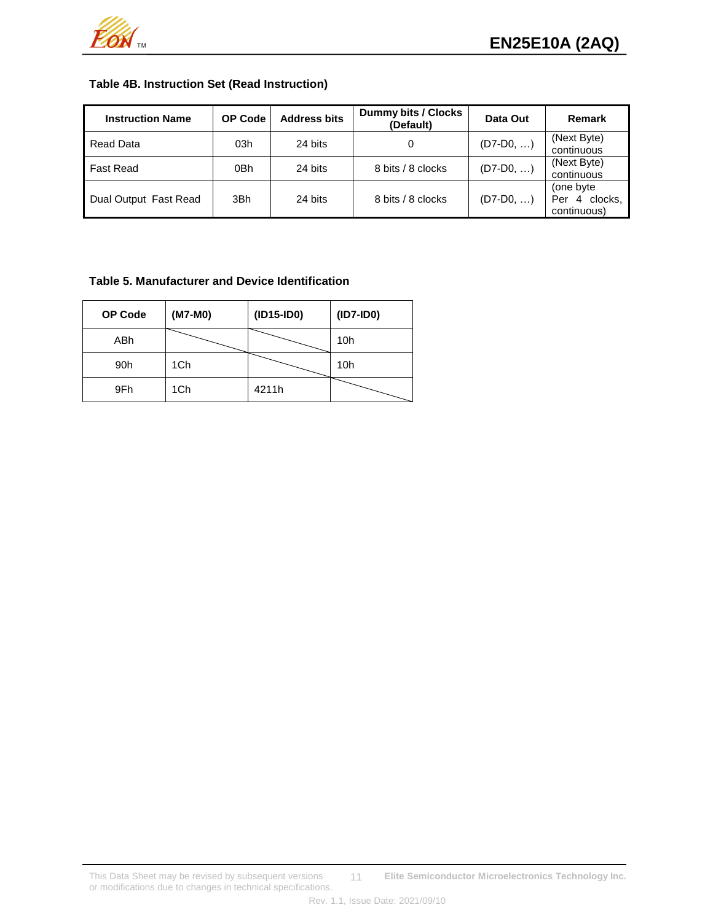

## **Table 4B. Instruction Set (Read Instruction)**

| <b>Instruction Name</b> | <b>OP Code</b> | <b>Address bits</b> | Dummy bits / Clocks<br>(Default) | Data Out    | Remark                                                        |
|-------------------------|----------------|---------------------|----------------------------------|-------------|---------------------------------------------------------------|
| Read Data               | 03h            | 24 bits             |                                  | $(D7-D0, )$ | (Next Byte)<br>continuous                                     |
| <b>Fast Read</b>        | 0Bh            | 24 bits             | 8 bits / 8 clocks                | $(D7-D0, )$ | (Next Byte)<br>continuous                                     |
| Dual Output Fast Read   | 3Bh            | 24 bits             | 8 bits / 8 clocks                | $(D7-D0, )$ | (one byte)<br>clocks.<br>$\overline{4}$<br>Per<br>continuous) |

## **Table 5. Manufacturer and Device Identification**

| <b>OP Code</b> | (M7-M0) | $(ID15-ID0)$ | $(ID7-ID0)$ |
|----------------|---------|--------------|-------------|
| ABh            |         |              | 10h         |
| 90h            | 1Ch     |              | 10h         |
| 9Fh            | 1Ch     | 4211h        |             |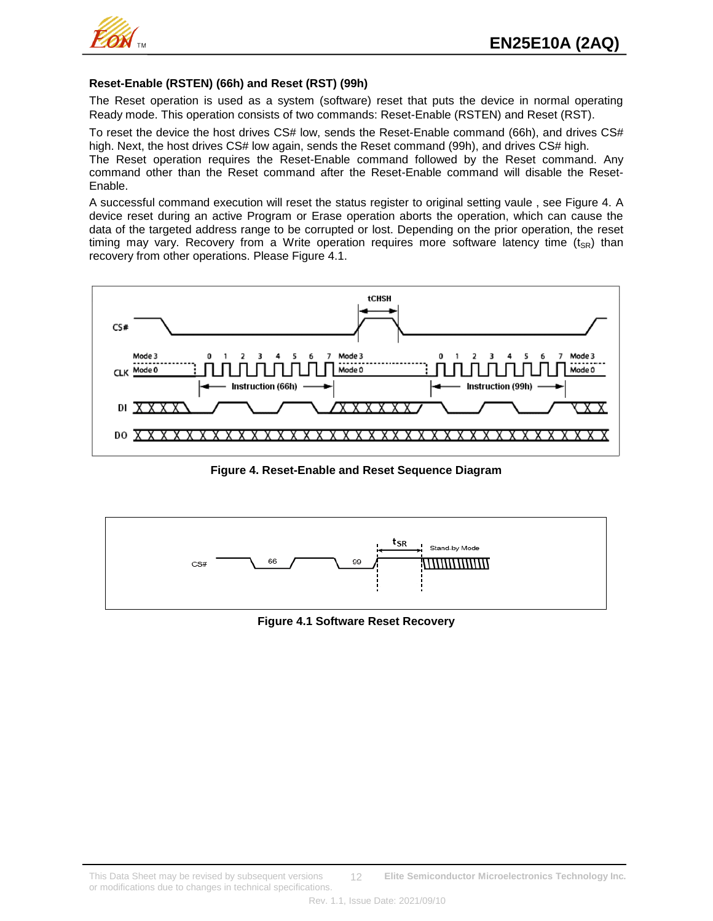

#### **Reset-Enable (RSTEN) (66h) and Reset (RST) (99h)**

The Reset operation is used as a system (software) reset that puts the device in normal operating Ready mode. This operation consists of two commands: Reset-Enable (RSTEN) and Reset (RST).

To reset the device the host drives CS# low, sends the Reset-Enable command (66h), and drives CS# high. Next, the host drives CS# low again, sends the Reset command (99h), and drives CS# high.

The Reset operation requires the Reset-Enable command followed by the Reset command. Any command other than the Reset command after the Reset-Enable command will disable the Reset-Enable.

A successful command execution will reset the status register to original setting vaule , see Figure 4. A device reset during an active Program or Erase operation aborts the operation, which can cause the data of the targeted address range to be corrupted or lost. Depending on the prior operation, the reset timing may vary. Recovery from a Write operation requires more software latency time  $(t_{SR})$  than recovery from other operations. Please Figure 4.1.



**Figure 4. Reset-Enable and Reset Sequence Diagram** 



**Figure 4.1 Software Reset Recovery**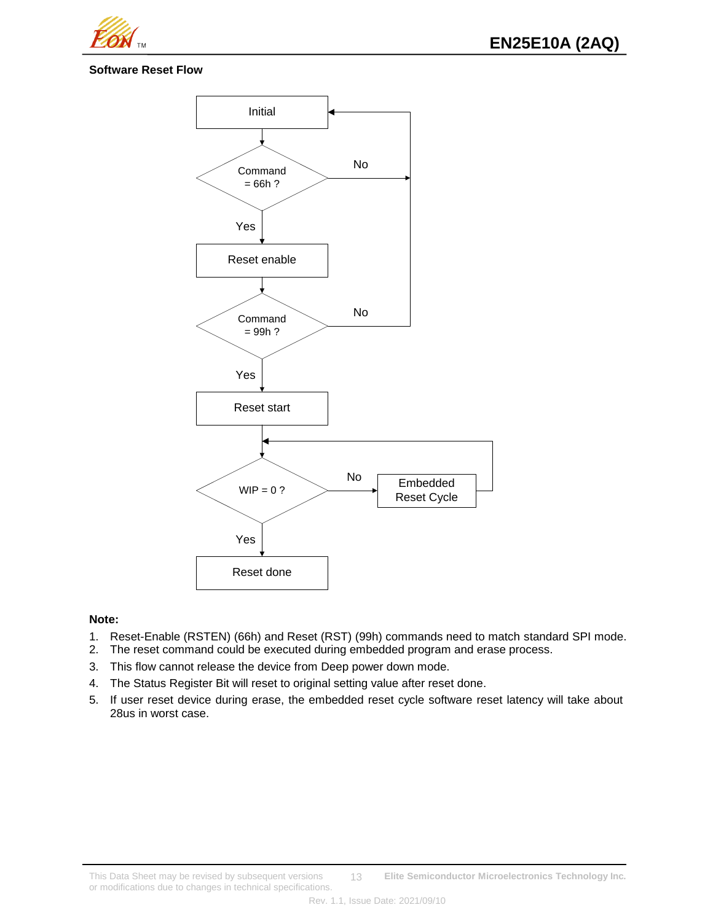

**EN25E10A (2AQ)** 

## **Software Reset Flow**



#### **Note:**

- 1. Reset-Enable (RSTEN) (66h) and Reset (RST) (99h) commands need to match standard SPI mode.
- 2. The reset command could be executed during embedded program and erase process.
- 3. This flow cannot release the device from Deep power down mode.
- 4. The Status Register Bit will reset to original setting value after reset done.
- 5. If user reset device during erase, the embedded reset cycle software reset latency will take about 28us in worst case.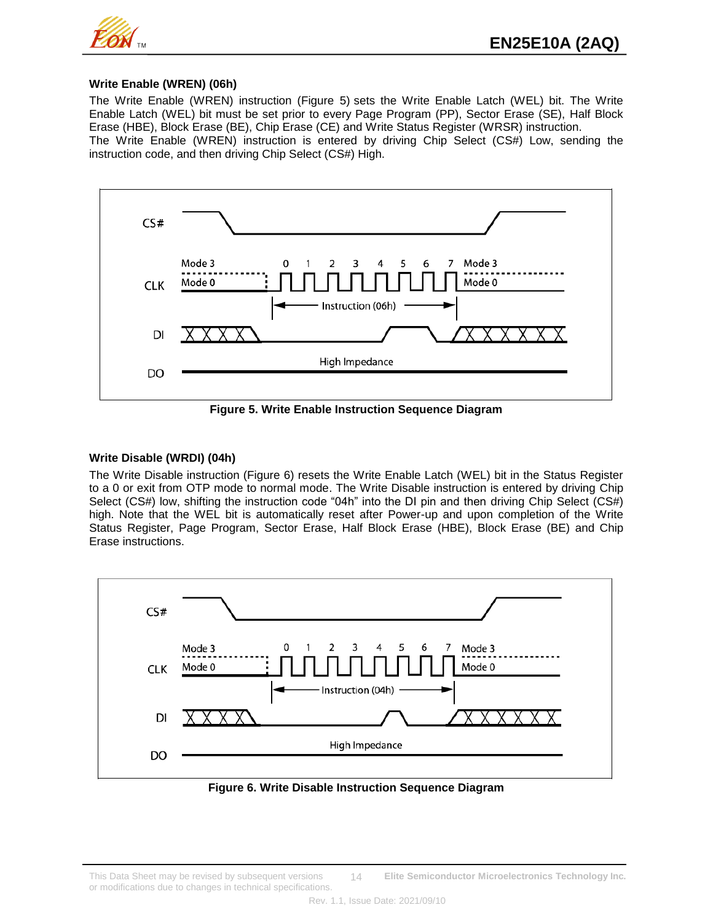

#### **Write Enable (WREN) (06h)**

The Write Enable (WREN) instruction (Figure 5) sets the Write Enable Latch (WEL) bit. The Write Enable Latch (WEL) bit must be set prior to every Page Program (PP), Sector Erase (SE), Half Block Erase (HBE), Block Erase (BE), Chip Erase (CE) and Write Status Register (WRSR) instruction.

The Write Enable (WREN) instruction is entered by driving Chip Select (CS#) Low, sending the instruction code, and then driving Chip Select (CS#) High.



**Figure 5. Write Enable Instruction Sequence Diagram**

#### **Write Disable (WRDI) (04h)**

The Write Disable instruction (Figure 6) resets the Write Enable Latch (WEL) bit in the Status Register to a 0 or exit from OTP mode to normal mode. The Write Disable instruction is entered by driving Chip Select (CS#) low, shifting the instruction code "04h" into the DI pin and then driving Chip Select (CS#) high. Note that the WEL bit is automatically reset after Power-up and upon completion of the Write Status Register, Page Program, Sector Erase, Half Block Erase (HBE), Block Erase (BE) and Chip Erase instructions.



**Figure 6. Write Disable Instruction Sequence Diagram**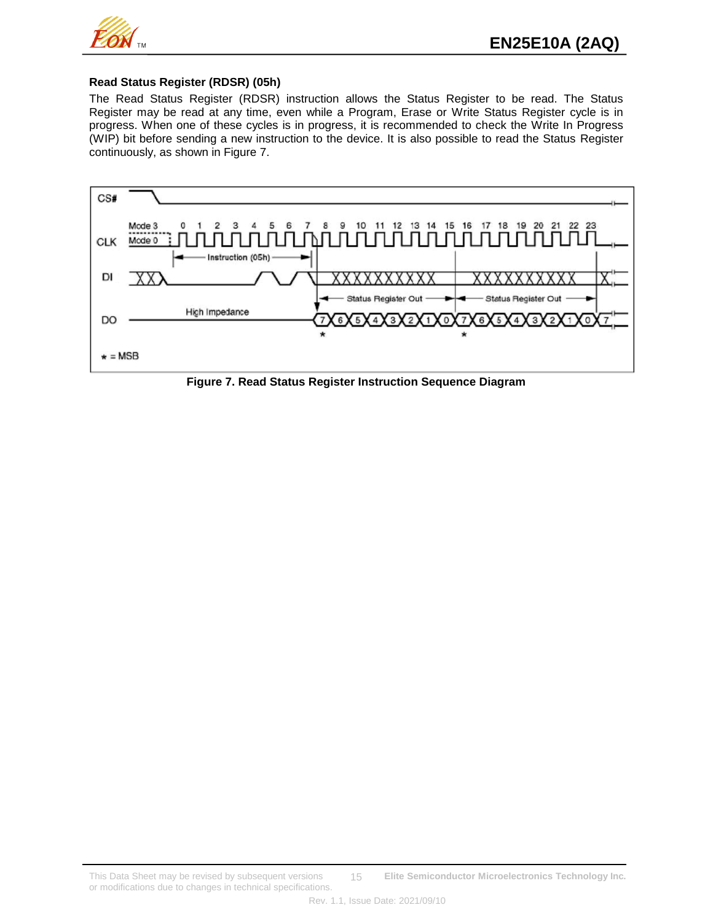

#### **Read Status Register (RDSR) (05h)**

The Read Status Register (RDSR) instruction allows the Status Register to be read. The Status Register may be read at any time, even while a Program, Erase or Write Status Register cycle is in progress. When one of these cycles is in progress, it is recommended to check the Write In Progress (WIP) bit before sending a new instruction to the device. It is also possible to read the Status Register continuously, as shown in Figure 7.



**Figure 7. Read Status Register Instruction Sequence Diagram**

This Data Sheet may be revised by subsequent versions **Elite Semiconductor Microelectronics Technology Inc.** or modifications due to changes in technical specifications. 15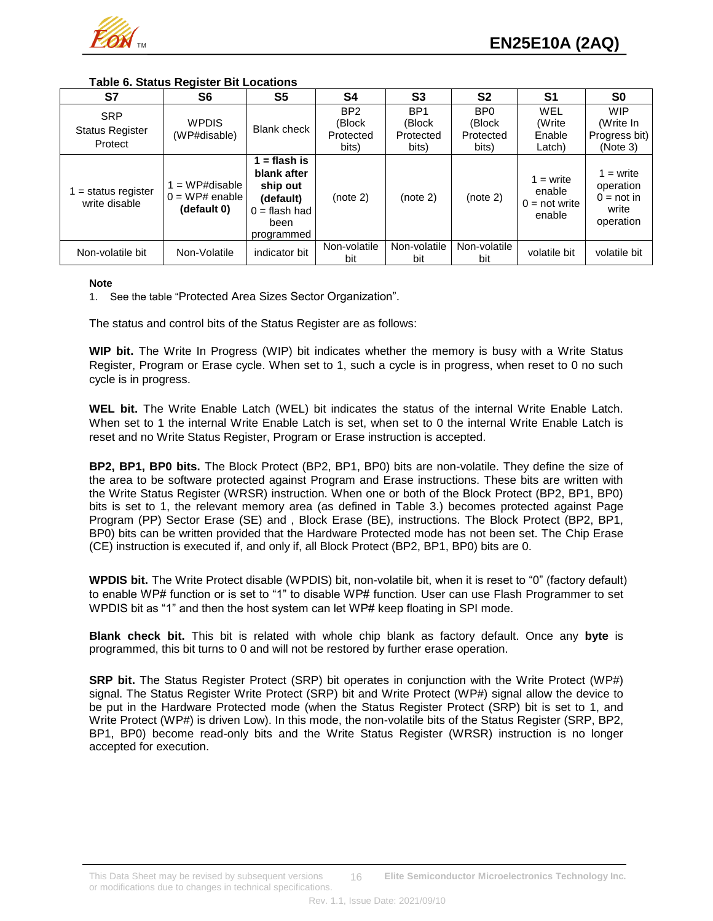

**Table 6. Status Register Bit Locations**

| S7                                              | S <sub>6</sub>                                    | S <sub>5</sub>                                                                              | S <sub>4</sub>                                  | S <sub>3</sub>                                  | S <sub>2</sub>                                  | S1                                                 | S <sub>0</sub>                                                 |
|-------------------------------------------------|---------------------------------------------------|---------------------------------------------------------------------------------------------|-------------------------------------------------|-------------------------------------------------|-------------------------------------------------|----------------------------------------------------|----------------------------------------------------------------|
| <b>SRP</b><br><b>Status Register</b><br>Protect | <b>WPDIS</b><br>(WP#disable)                      | Blank check                                                                                 | BP <sub>2</sub><br>(Block<br>Protected<br>bits) | BP <sub>1</sub><br>(Block<br>Protected<br>bits) | BP <sub>0</sub><br>(Block<br>Protected<br>bits) | WEL<br>(Write<br>Enable<br>Latch)                  | <b>WIP</b><br>(Write In<br>Progress bit)<br>(Note 3)           |
| $=$ status register<br>write disable            | $=$ WP#disable<br>$0 = WP#$ enable<br>(default 0) | = flash is<br>blank after<br>ship out<br>(default)<br>$0 =$ flash had<br>been<br>programmed | (note 2)                                        | (note 2)                                        | (note 2)                                        | $1 = write$<br>enable<br>$0 = not write$<br>enable | $1 = write$<br>operation<br>$0 = not in$<br>write<br>operation |
| Non-volatile bit                                | Non-Volatile                                      | indicator bit                                                                               | Non-volatile<br>bit                             | Non-volatile<br>bit                             | Non-volatile<br>bit                             | volatile bit                                       | volatile bit                                                   |

#### **Note**

1. See the table "Protected Area Sizes Sector Organization".

The status and control bits of the Status Register are as follows:

**WIP bit.** The Write In Progress (WIP) bit indicates whether the memory is busy with a Write Status Register, Program or Erase cycle. When set to 1, such a cycle is in progress, when reset to 0 no such cycle is in progress.

**WEL bit.** The Write Enable Latch (WEL) bit indicates the status of the internal Write Enable Latch. When set to 1 the internal Write Enable Latch is set, when set to 0 the internal Write Enable Latch is reset and no Write Status Register, Program or Erase instruction is accepted.

**BP2, BP1, BP0 bits.** The Block Protect (BP2, BP1, BP0) bits are non-volatile. They define the size of the area to be software protected against Program and Erase instructions. These bits are written with the Write Status Register (WRSR) instruction. When one or both of the Block Protect (BP2, BP1, BP0) bits is set to 1, the relevant memory area (as defined in Table 3.) becomes protected against Page Program (PP) Sector Erase (SE) and , Block Erase (BE), instructions. The Block Protect (BP2, BP1, BP0) bits can be written provided that the Hardware Protected mode has not been set. The Chip Erase (CE) instruction is executed if, and only if, all Block Protect (BP2, BP1, BP0) bits are 0.

**WPDIS bit.** The Write Protect disable (WPDIS) bit, non-volatile bit, when it is reset to "0" (factory default) to enable WP# function or is set to "1" to disable WP# function. User can use Flash Programmer to set WPDIS bit as "1" and then the host system can let WP# keep floating in SPI mode.

**Blank check bit.** This bit is related with whole chip blank as factory default. Once any **byte** is programmed, this bit turns to 0 and will not be restored by further erase operation.

**SRP bit.** The Status Register Protect (SRP) bit operates in conjunction with the Write Protect (WP#) signal. The Status Register Write Protect (SRP) bit and Write Protect (WP#) signal allow the device to be put in the Hardware Protected mode (when the Status Register Protect (SRP) bit is set to 1, and Write Protect (WP#) is driven Low). In this mode, the non-volatile bits of the Status Register (SRP, BP2, BP1, BP0) become read-only bits and the Write Status Register (WRSR) instruction is no longer accepted for execution.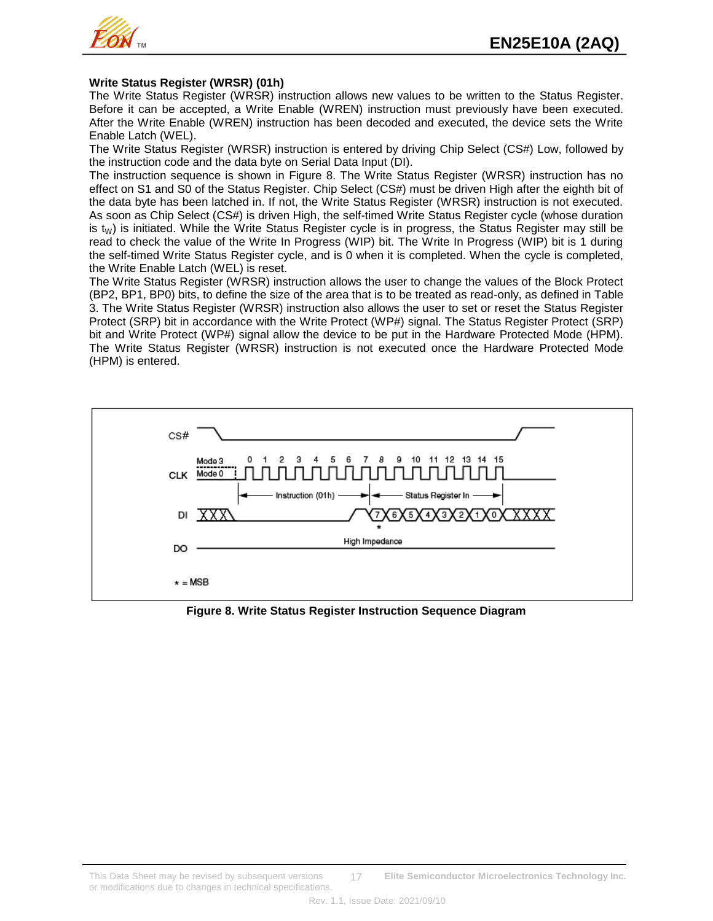

#### **Write Status Register (WRSR) (01h)**

The Write Status Register (WRSR) instruction allows new values to be written to the Status Register. Before it can be accepted, a Write Enable (WREN) instruction must previously have been executed. After the Write Enable (WREN) instruction has been decoded and executed, the device sets the Write Enable Latch (WEL).

The Write Status Register (WRSR) instruction is entered by driving Chip Select (CS#) Low, followed by the instruction code and the data byte on Serial Data Input (DI).

The instruction sequence is shown in Figure 8. The Write Status Register (WRSR) instruction has no effect on S1 and S0 of the Status Register. Chip Select (CS#) must be driven High after the eighth bit of the data byte has been latched in. If not, the Write Status Register (WRSR) instruction is not executed. As soon as Chip Select (CS#) is driven High, the self-timed Write Status Register cycle (whose duration is  $t_W$ ) is initiated. While the Write Status Register cycle is in progress, the Status Register may still be read to check the value of the Write In Progress (WIP) bit. The Write In Progress (WIP) bit is 1 during the self-timed Write Status Register cycle, and is 0 when it is completed. When the cycle is completed, the Write Enable Latch (WEL) is reset.

The Write Status Register (WRSR) instruction allows the user to change the values of the Block Protect (BP2, BP1, BP0) bits, to define the size of the area that is to be treated as read-only, as defined in Table 3. The Write Status Register (WRSR) instruction also allows the user to set or reset the Status Register Protect (SRP) bit in accordance with the Write Protect (WP#) signal. The Status Register Protect (SRP) bit and Write Protect (WP#) signal allow the device to be put in the Hardware Protected Mode (HPM). The Write Status Register (WRSR) instruction is not executed once the Hardware Protected Mode (HPM) is entered.



**Figure 8. Write Status Register Instruction Sequence Diagram**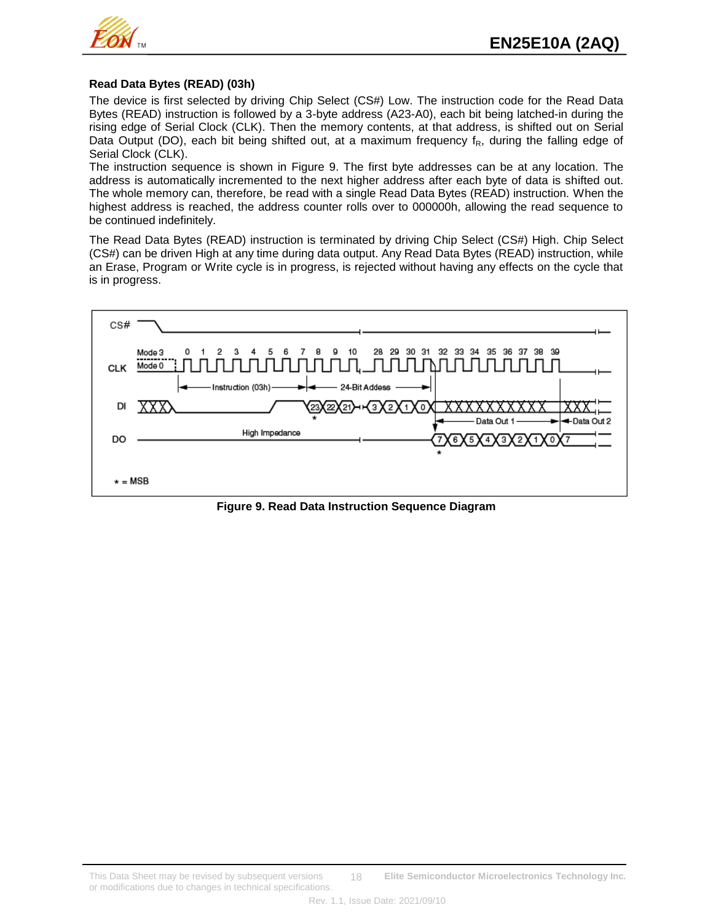

#### **Read Data Bytes (READ) (03h)**

The device is first selected by driving Chip Select (CS#) Low. The instruction code for the Read Data Bytes (READ) instruction is followed by a 3-byte address (A23-A0), each bit being latched-in during the rising edge of Serial Clock (CLK). Then the memory contents, at that address, is shifted out on Serial Data Output (DO), each bit being shifted out, at a maximum frequency  $f_R$ , during the falling edge of Serial Clock (CLK).

The instruction sequence is shown in Figure 9. The first byte addresses can be at any location. The address is automatically incremented to the next higher address after each byte of data is shifted out. The whole memory can, therefore, be read with a single Read Data Bytes (READ) instruction. When the highest address is reached, the address counter rolls over to 000000h, allowing the read sequence to be continued indefinitely.

The Read Data Bytes (READ) instruction is terminated by driving Chip Select (CS#) High. Chip Select (CS#) can be driven High at any time during data output. Any Read Data Bytes (READ) instruction, while an Erase, Program or Write cycle is in progress, is rejected without having any effects on the cycle that is in progress.



**Figure 9. Read Data Instruction Sequence Diagram**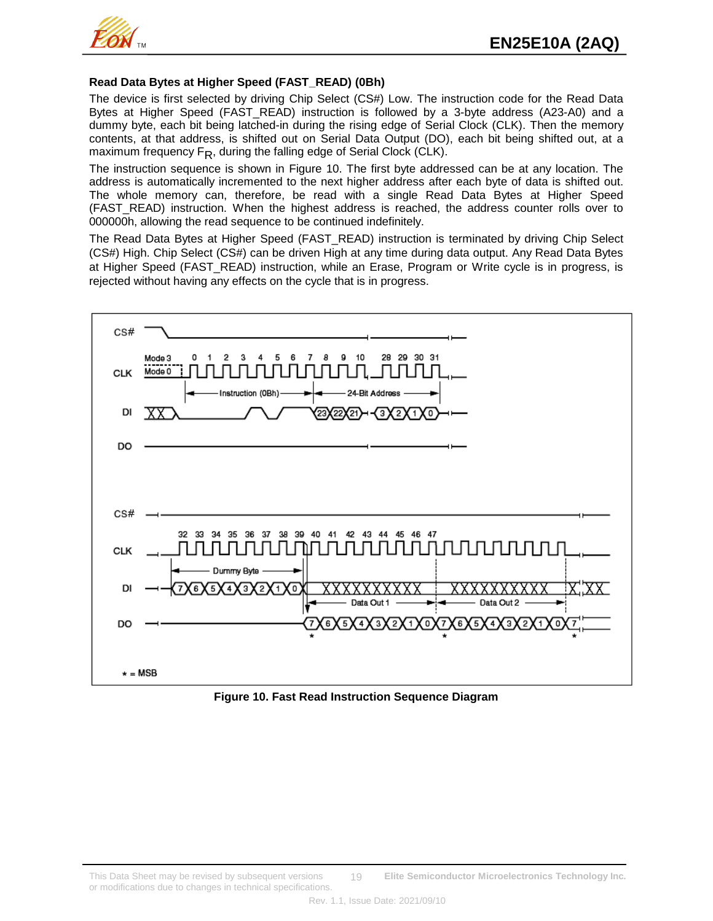

## **Read Data Bytes at Higher Speed (FAST\_READ) (0Bh)**

The device is first selected by driving Chip Select (CS#) Low. The instruction code for the Read Data Bytes at Higher Speed (FAST\_READ) instruction is followed by a 3-byte address (A23-A0) and a dummy byte, each bit being latched-in during the rising edge of Serial Clock (CLK). Then the memory contents, at that address, is shifted out on Serial Data Output (DO), each bit being shifted out, at a maximum frequency  $F_R$ , during the falling edge of Serial Clock (CLK).

The instruction sequence is shown in Figure 10. The first byte addressed can be at any location. The address is automatically incremented to the next higher address after each byte of data is shifted out. The whole memory can, therefore, be read with a single Read Data Bytes at Higher Speed (FAST\_READ) instruction. When the highest address is reached, the address counter rolls over to 000000h, allowing the read sequence to be continued indefinitely.

The Read Data Bytes at Higher Speed (FAST\_READ) instruction is terminated by driving Chip Select (CS#) High. Chip Select (CS#) can be driven High at any time during data output. Any Read Data Bytes at Higher Speed (FAST\_READ) instruction, while an Erase, Program or Write cycle is in progress, is rejected without having any effects on the cycle that is in progress.



**Figure 10. Fast Read Instruction Sequence Diagram**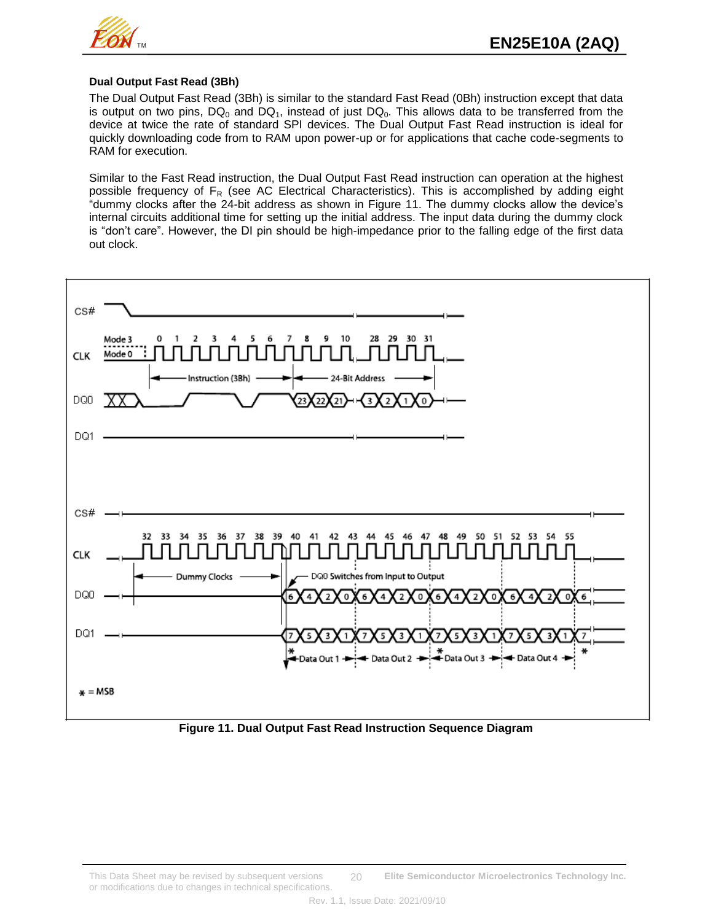

#### **Dual Output Fast Read (3Bh)**

The Dual Output Fast Read (3Bh) is similar to the standard Fast Read (0Bh) instruction except that data is output on two pins,  $DQ_0$  and  $DQ_1$ , instead of just  $DQ_0$ . This allows data to be transferred from the device at twice the rate of standard SPI devices. The Dual Output Fast Read instruction is ideal for quickly downloading code from to RAM upon power-up or for applications that cache code-segments to RAM for execution.

Similar to the Fast Read instruction, the Dual Output Fast Read instruction can operation at the highest possible frequency of  $F_R$  (see AC Electrical Characteristics). This is accomplished by adding eight "dummy clocks after the 24-bit address as shown in Figure 11. The dummy clocks allow the device's internal circuits additional time for setting up the initial address. The input data during the dummy clock is "don't care". However, the DI pin should be high-impedance prior to the falling edge of the first data out clock.



**Figure 11. Dual Output Fast Read Instruction Sequence Diagram**

This Data Sheet may be revised by subsequent versions **Elite Semiconductor Microelectronics Technology Inc.** or modifications due to changes in technical specifications. 20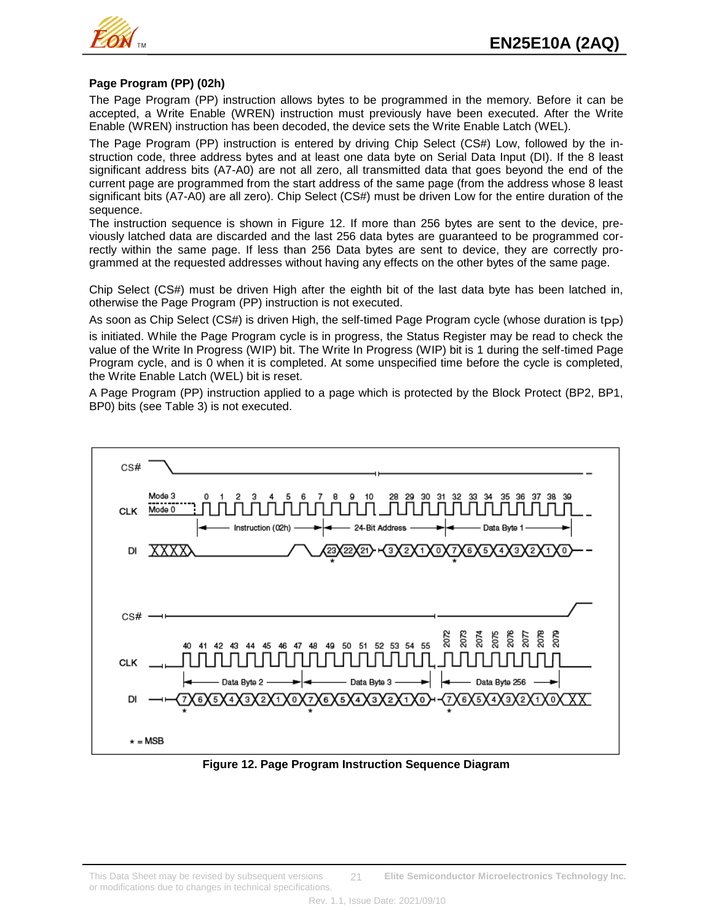

## **Page Program (PP) (02h)**

The Page Program (PP) instruction allows bytes to be programmed in the memory. Before it can be accepted, a Write Enable (WREN) instruction must previously have been executed. After the Write Enable (WREN) instruction has been decoded, the device sets the Write Enable Latch (WEL).

The Page Program (PP) instruction is entered by driving Chip Select (CS#) Low, followed by the instruction code, three address bytes and at least one data byte on Serial Data Input (DI). If the 8 least significant address bits (A7-A0) are not all zero, all transmitted data that goes beyond the end of the current page are programmed from the start address of the same page (from the address whose 8 least significant bits (A7-A0) are all zero). Chip Select (CS#) must be driven Low for the entire duration of the sequence.

The instruction sequence is shown in Figure 12. If more than 256 bytes are sent to the device, previously latched data are discarded and the last 256 data bytes are guaranteed to be programmed correctly within the same page. If less than 256 Data bytes are sent to device, they are correctly programmed at the requested addresses without having any effects on the other bytes of the same page.

Chip Select (CS#) must be driven High after the eighth bit of the last data byte has been latched in, otherwise the Page Program (PP) instruction is not executed.

As soon as Chip Select (CS#) is driven High, the self-timed Page Program cycle (whose duration is t<sub>PP</sub>) is initiated. While the Page Program cycle is in progress, the Status Register may be read to check the value of the Write In Progress (WIP) bit. The Write In Progress (WIP) bit is 1 during the self-timed Page Program cycle, and is 0 when it is completed. At some unspecified time before the cycle is completed, the Write Enable Latch (WEL) bit is reset.

A Page Program (PP) instruction applied to a page which is protected by the Block Protect (BP2, BP1, BP0) bits (see Table 3) is not executed.



**Figure 12. Page Program Instruction Sequence Diagram**

This Data Sheet may be revised by subsequent versions **Elite Semiconductor Microelectronics Technology Inc.** or modifications due to changes in technical specifications. 21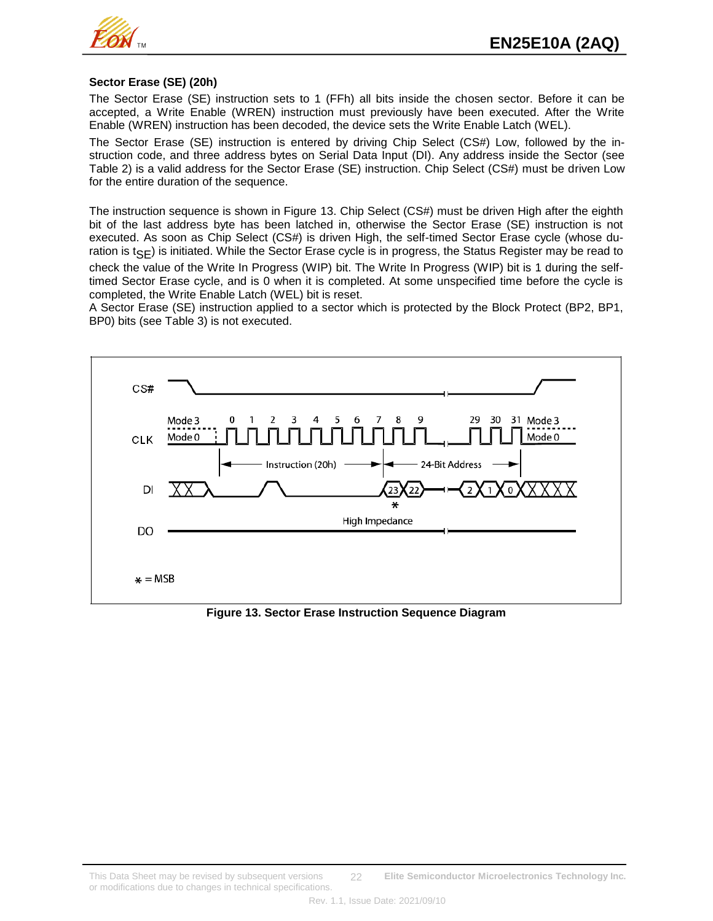

#### **Sector Erase (SE) (20h)**

The Sector Erase (SE) instruction sets to 1 (FFh) all bits inside the chosen sector. Before it can be accepted, a Write Enable (WREN) instruction must previously have been executed. After the Write Enable (WREN) instruction has been decoded, the device sets the Write Enable Latch (WEL).

The Sector Erase (SE) instruction is entered by driving Chip Select (CS#) Low, followed by the instruction code, and three address bytes on Serial Data Input (DI). Any address inside the Sector (see Table 2) is a valid address for the Sector Erase (SE) instruction. Chip Select (CS#) must be driven Low for the entire duration of the sequence.

The instruction sequence is shown in Figure 13. Chip Select (CS#) must be driven High after the eighth bit of the last address byte has been latched in, otherwise the Sector Erase (SE) instruction is not executed. As soon as Chip Select (CS#) is driven High, the self-timed Sector Erase cycle (whose duration is  $t_{\text{SE}}$ ) is initiated. While the Sector Erase cycle is in progress, the Status Register may be read to check the value of the Write In Progress (WIP) bit. The Write In Progress (WIP) bit is 1 during the selftimed Sector Erase cycle, and is 0 when it is completed. At some unspecified time before the cycle is completed, the Write Enable Latch (WEL) bit is reset.

A Sector Erase (SE) instruction applied to a sector which is protected by the Block Protect (BP2, BP1, BP0) bits (see Table 3) is not executed.



**Figure 13. Sector Erase Instruction Sequence Diagram**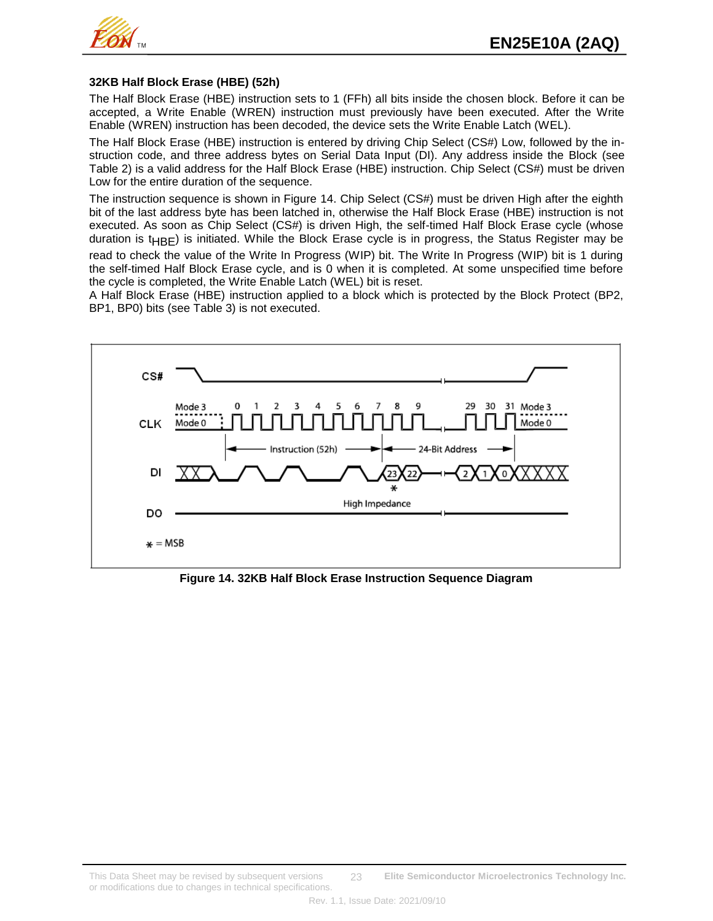

### **32KB Half Block Erase (HBE) (52h)**

The Half Block Erase (HBE) instruction sets to 1 (FFh) all bits inside the chosen block. Before it can be accepted, a Write Enable (WREN) instruction must previously have been executed. After the Write Enable (WREN) instruction has been decoded, the device sets the Write Enable Latch (WEL).

The Half Block Erase (HBE) instruction is entered by driving Chip Select (CS#) Low, followed by the instruction code, and three address bytes on Serial Data Input (DI). Any address inside the Block (see Table 2) is a valid address for the Half Block Erase (HBE) instruction. Chip Select (CS#) must be driven Low for the entire duration of the sequence.

The instruction sequence is shown in Figure 14. Chip Select (CS#) must be driven High after the eighth bit of the last address byte has been latched in, otherwise the Half Block Erase (HBE) instruction is not executed. As soon as Chip Select (CS#) is driven High, the self-timed Half Block Erase cycle (whose duration is  $t_{HBF}$ ) is initiated. While the Block Erase cycle is in progress, the Status Register may be

read to check the value of the Write In Progress (WIP) bit. The Write In Progress (WIP) bit is 1 during the self-timed Half Block Erase cycle, and is 0 when it is completed. At some unspecified time before the cycle is completed, the Write Enable Latch (WEL) bit is reset.

A Half Block Erase (HBE) instruction applied to a block which is protected by the Block Protect (BP2, BP1, BP0) bits (see Table 3) is not executed.



**Figure 14. 32KB Half Block Erase Instruction Sequence Diagram**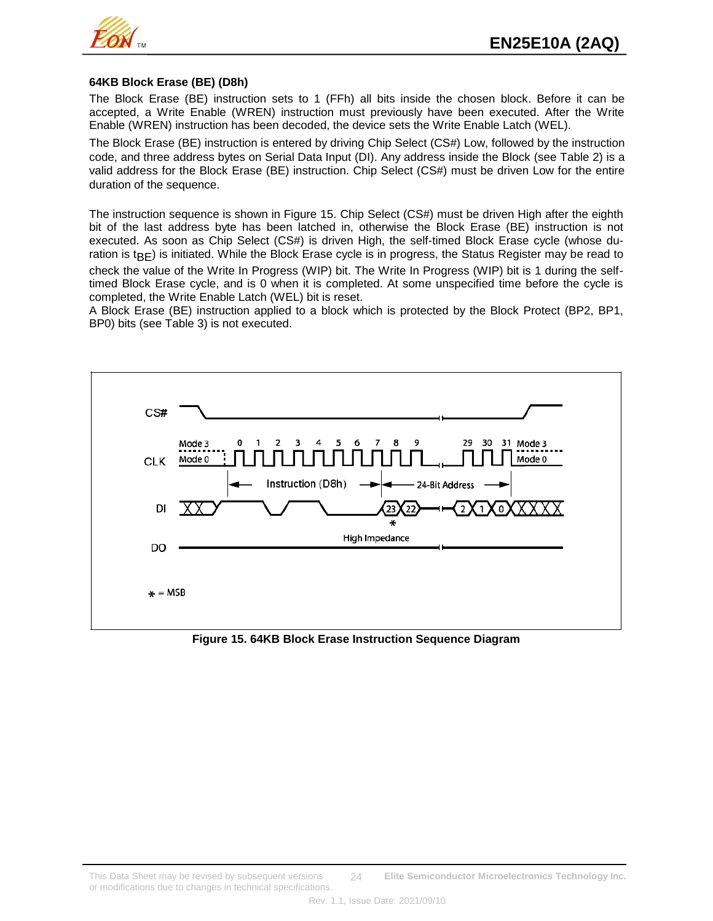

#### **64KB Block Erase (BE) (D8h)**

The Block Erase (BE) instruction sets to 1 (FFh) all bits inside the chosen block. Before it can be accepted, a Write Enable (WREN) instruction must previously have been executed. After the Write Enable (WREN) instruction has been decoded, the device sets the Write Enable Latch (WEL).

The Block Erase (BE) instruction is entered by driving Chip Select (CS#) Low, followed by the instruction code, and three address bytes on Serial Data Input (DI). Any address inside the Block (see Table 2) is a valid address for the Block Erase (BE) instruction. Chip Select (CS#) must be driven Low for the entire duration of the sequence.

The instruction sequence is shown in Figure 15. Chip Select (CS#) must be driven High after the eighth bit of the last address byte has been latched in, otherwise the Block Erase (BE) instruction is not executed. As soon as Chip Select (CS#) is driven High, the self-timed Block Erase cycle (whose duration is  $t_{\text{BE}}$ ) is initiated. While the Block Erase cycle is in progress, the Status Register may be read to check the value of the Write In Progress (WIP) bit. The Write In Progress (WIP) bit is 1 during the selftimed Block Erase cycle, and is 0 when it is completed. At some unspecified time before the cycle is completed, the Write Enable Latch (WEL) bit is reset.

A Block Erase (BE) instruction applied to a block which is protected by the Block Protect (BP2, BP1, BP0) bits (see Table 3) is not executed.



**Figure 15. 64KB Block Erase Instruction Sequence Diagram**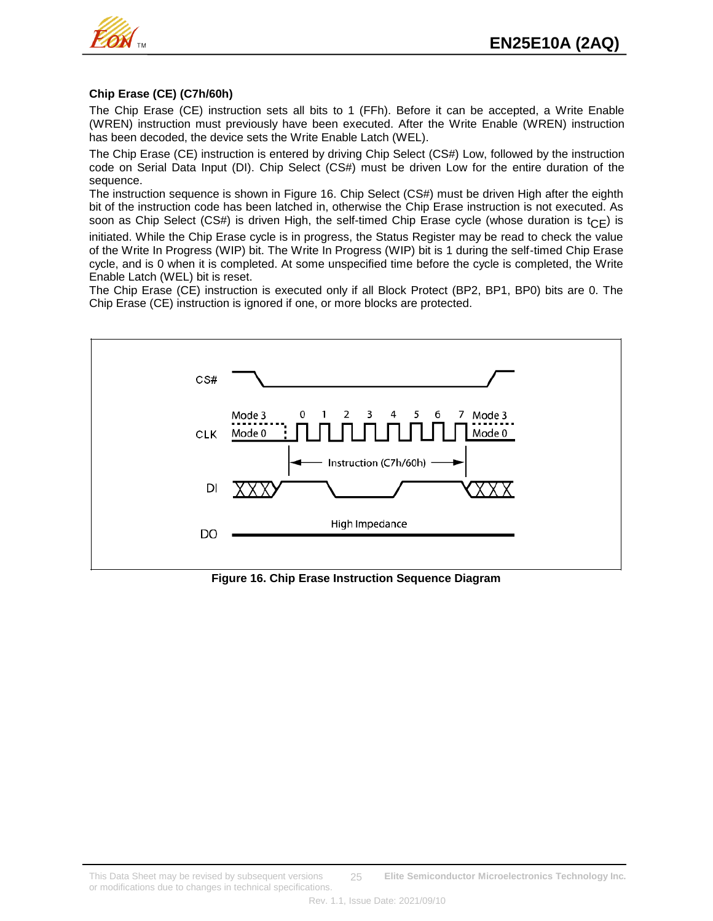

## **Chip Erase (CE) (C7h/60h)**

The Chip Erase (CE) instruction sets all bits to 1 (FFh). Before it can be accepted, a Write Enable (WREN) instruction must previously have been executed. After the Write Enable (WREN) instruction has been decoded, the device sets the Write Enable Latch (WEL).

The Chip Erase (CE) instruction is entered by driving Chip Select (CS#) Low, followed by the instruction code on Serial Data Input (DI). Chip Select (CS#) must be driven Low for the entire duration of the sequence.

The instruction sequence is shown in Figure 16. Chip Select (CS#) must be driven High after the eighth bit of the instruction code has been latched in, otherwise the Chip Erase instruction is not executed. As soon as Chip Select (CS#) is driven High, the self-timed Chip Erase cycle (whose duration is  $t_{\text{CE}}$ ) is

initiated. While the Chip Erase cycle is in progress, the Status Register may be read to check the value of the Write In Progress (WIP) bit. The Write In Progress (WIP) bit is 1 during the self-timed Chip Erase cycle, and is 0 when it is completed. At some unspecified time before the cycle is completed, the Write Enable Latch (WEL) bit is reset.

The Chip Erase (CE) instruction is executed only if all Block Protect (BP2, BP1, BP0) bits are 0. The Chip Erase (CE) instruction is ignored if one, or more blocks are protected.



**Figure 16. Chip Erase Instruction Sequence Diagram**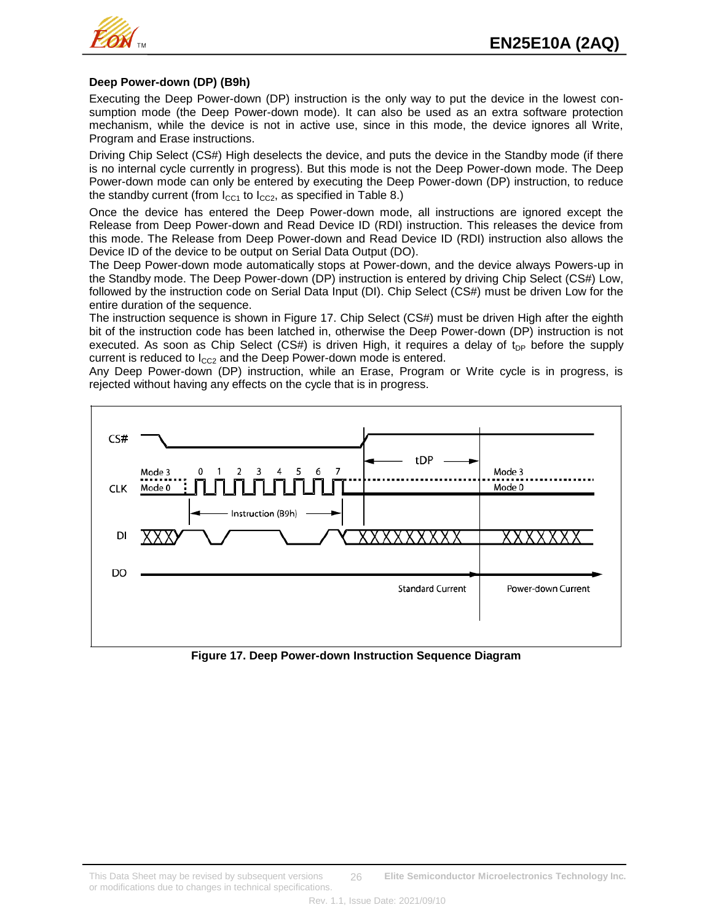

#### **Deep Power-down (DP) (B9h)**

Executing the Deep Power-down (DP) instruction is the only way to put the device in the lowest consumption mode (the Deep Power-down mode). It can also be used as an extra software protection mechanism, while the device is not in active use, since in this mode, the device ignores all Write, Program and Erase instructions.

Driving Chip Select (CS#) High deselects the device, and puts the device in the Standby mode (if there is no internal cycle currently in progress). But this mode is not the Deep Power-down mode. The Deep Power-down mode can only be entered by executing the Deep Power-down (DP) instruction, to reduce the standby current (from  $I_{CC1}$  to  $I_{CC2}$ , as specified in Table 8.)

Once the device has entered the Deep Power-down mode, all instructions are ignored except the Release from Deep Power-down and Read Device ID (RDI) instruction. This releases the device from this mode. The Release from Deep Power-down and Read Device ID (RDI) instruction also allows the Device ID of the device to be output on Serial Data Output (DO).

The Deep Power-down mode automatically stops at Power-down, and the device always Powers-up in the Standby mode. The Deep Power-down (DP) instruction is entered by driving Chip Select (CS#) Low, followed by the instruction code on Serial Data Input (DI). Chip Select (CS#) must be driven Low for the entire duration of the sequence.

The instruction sequence is shown in Figure 17. Chip Select (CS#) must be driven High after the eighth bit of the instruction code has been latched in, otherwise the Deep Power-down (DP) instruction is not executed. As soon as Chip Select (CS#) is driven High, it requires a delay of  $t_{DP}$  before the supply current is reduced to  $I_{CC2}$  and the Deep Power-down mode is entered.

Any Deep Power-down (DP) instruction, while an Erase, Program or Write cycle is in progress, is rejected without having any effects on the cycle that is in progress.



**Figure 17. Deep Power-down Instruction Sequence Diagram**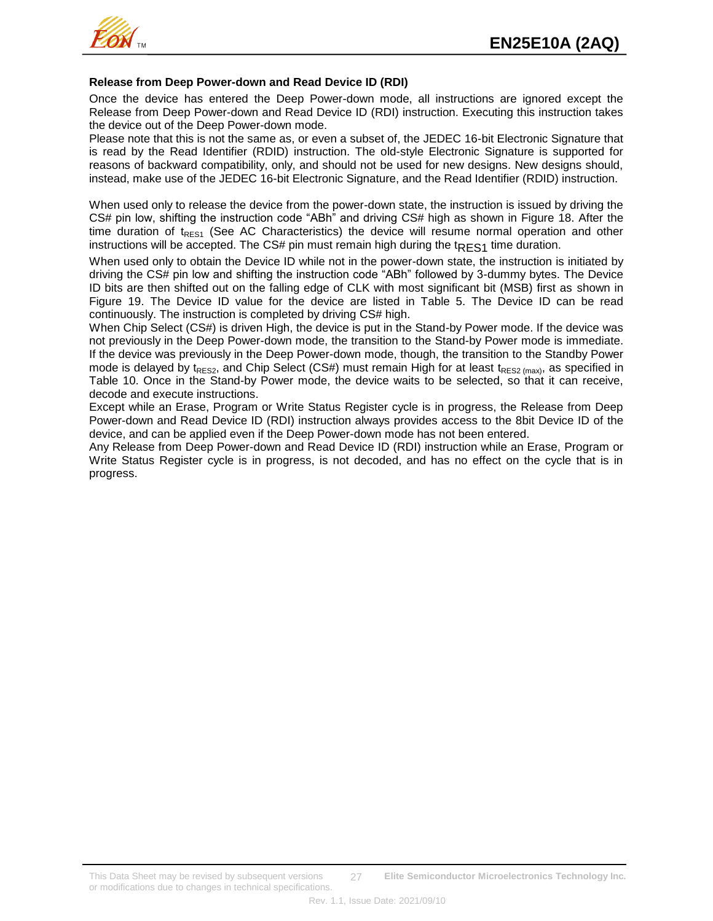

#### **Release from Deep Power-down and Read Device ID (RDI)**

Once the device has entered the Deep Power-down mode, all instructions are ignored except the Release from Deep Power-down and Read Device ID (RDI) instruction. Executing this instruction takes the device out of the Deep Power-down mode.

Please note that this is not the same as, or even a subset of, the JEDEC 16-bit Electronic Signature that is read by the Read Identifier (RDID) instruction. The old-style Electronic Signature is supported for reasons of backward compatibility, only, and should not be used for new designs. New designs should, instead, make use of the JEDEC 16-bit Electronic Signature, and the Read Identifier (RDID) instruction.

When used only to release the device from the power-down state, the instruction is issued by driving the CS# pin low, shifting the instruction code "ABh" and driving CS# high as shown in Figure 18. After the time duration of  $t_{RFS1}$  (See AC Characteristics) the device will resume normal operation and other instructions will be accepted. The CS# pin must remain high during the  $t_{\text{RES}1}$  time duration.

When used only to obtain the Device ID while not in the power-down state, the instruction is initiated by driving the CS# pin low and shifting the instruction code "ABh" followed by 3-dummy bytes. The Device ID bits are then shifted out on the falling edge of CLK with most significant bit (MSB) first as shown in Figure 19. The Device ID value for the device are listed in Table 5. The Device ID can be read continuously. The instruction is completed by driving CS# high.

When Chip Select (CS#) is driven High, the device is put in the Stand-by Power mode. If the device was not previously in the Deep Power-down mode, the transition to the Stand-by Power mode is immediate. If the device was previously in the Deep Power-down mode, though, the transition to the Standby Power mode is delayed by t<sub>RES2</sub>, and Chip Select (CS#) must remain High for at least t<sub>RES2 (max</sub>), as specified in Table 10. Once in the Stand-by Power mode, the device waits to be selected, so that it can receive, decode and execute instructions.

Except while an Erase, Program or Write Status Register cycle is in progress, the Release from Deep Power-down and Read Device ID (RDI) instruction always provides access to the 8bit Device ID of the device, and can be applied even if the Deep Power-down mode has not been entered.

Any Release from Deep Power-down and Read Device ID (RDI) instruction while an Erase, Program or Write Status Register cycle is in progress, is not decoded, and has no effect on the cycle that is in progress.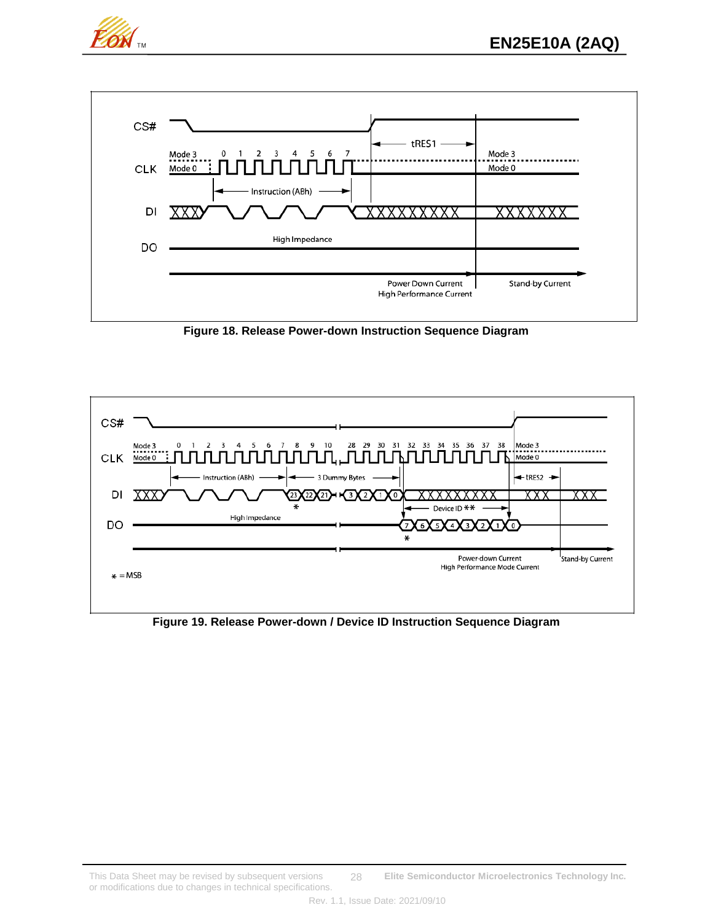



**Figure 18. Release Power-down Instruction Sequence Diagram**



**Figure 19. Release Power-down / Device ID Instruction Sequence Diagram**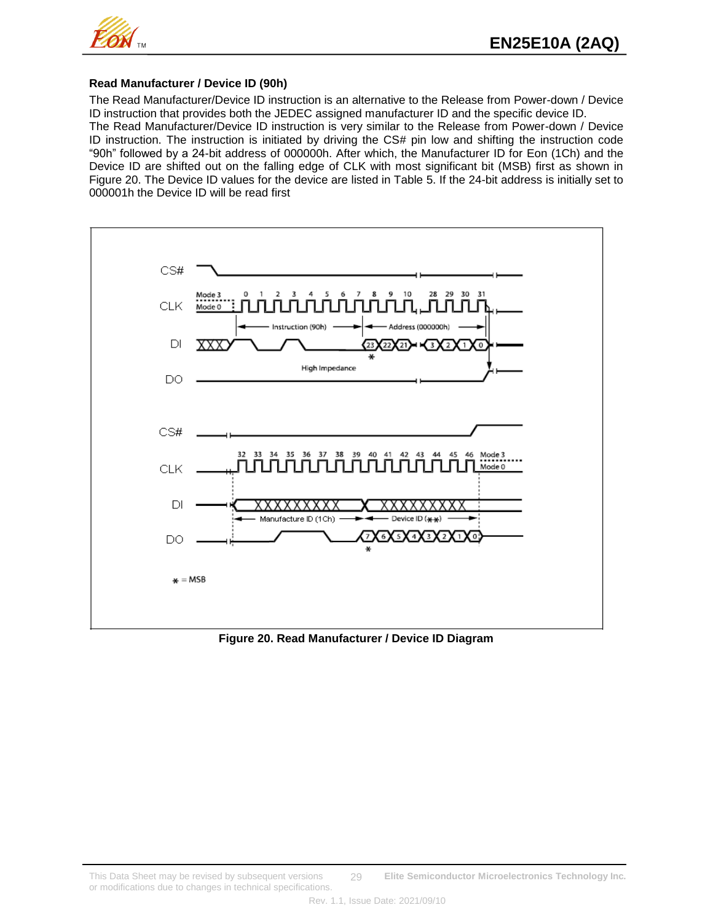

#### **Read Manufacturer / Device ID (90h)**

The Read Manufacturer/Device ID instruction is an alternative to the Release from Power-down / Device ID instruction that provides both the JEDEC assigned manufacturer ID and the specific device ID. The Read Manufacturer/Device ID instruction is very similar to the Release from Power-down / Device ID instruction. The instruction is initiated by driving the CS# pin low and shifting the instruction code "90h" followed by a 24-bit address of 000000h. After which, the Manufacturer ID for Eon (1Ch) and the Device ID are shifted out on the falling edge of CLK with most significant bit (MSB) first as shown in Figure 20. The Device ID values for the device are listed in Table 5. If the 24-bit address is initially set to 000001h the Device ID will be read first



**Figure 20. Read Manufacturer / Device ID Diagram**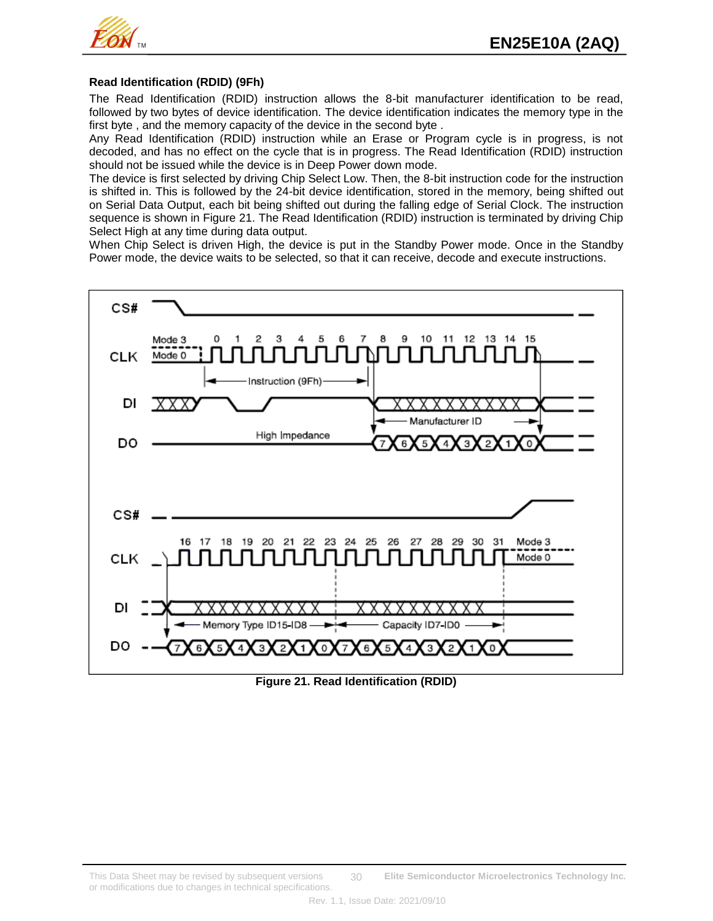

### **Read Identification (RDID) (9Fh)**

The Read Identification (RDID) instruction allows the 8-bit manufacturer identification to be read, followed by two bytes of device identification. The device identification indicates the memory type in the first byte , and the memory capacity of the device in the second byte .

Any Read Identification (RDID) instruction while an Erase or Program cycle is in progress, is not decoded, and has no effect on the cycle that is in progress. The Read Identification (RDID) instruction should not be issued while the device is in Deep Power down mode.

The device is first selected by driving Chip Select Low. Then, the 8-bit instruction code for the instruction is shifted in. This is followed by the 24-bit device identification, stored in the memory, being shifted out on Serial Data Output, each bit being shifted out during the falling edge of Serial Clock. The instruction sequence is shown in Figure 21. The Read Identification (RDID) instruction is terminated by driving Chip Select High at any time during data output.

When Chip Select is driven High, the device is put in the Standby Power mode. Once in the Standby Power mode, the device waits to be selected, so that it can receive, decode and execute instructions.



**Figure 21. Read Identification (RDID)**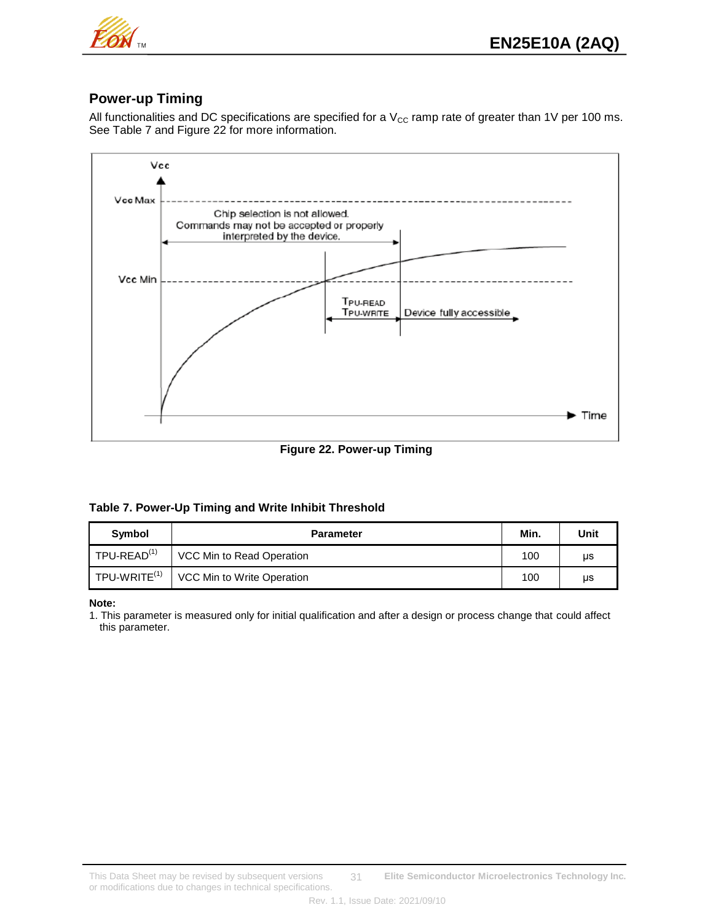

## **Power-up Timing**

All functionalities and DC specifications are specified for a  $V_{CC}$  ramp rate of greater than 1V per 100 ms. See Table 7 and Figure 22 for more information.



**Figure 22. Power-up Timing**

#### **Table 7. Power-Up Timing and Write Inhibit Threshold**

| Symbol                   | <b>Parameter</b>           | Min. | Unit |
|--------------------------|----------------------------|------|------|
| TPU-READ <sup>(1)</sup>  | VCC Min to Read Operation  | 100  | μs   |
| TPU-WRITE <sup>(1)</sup> | VCC Min to Write Operation | 100  | μs   |

**Note:**

1. This parameter is measured only for initial qualification and after a design or process change that could affect this parameter.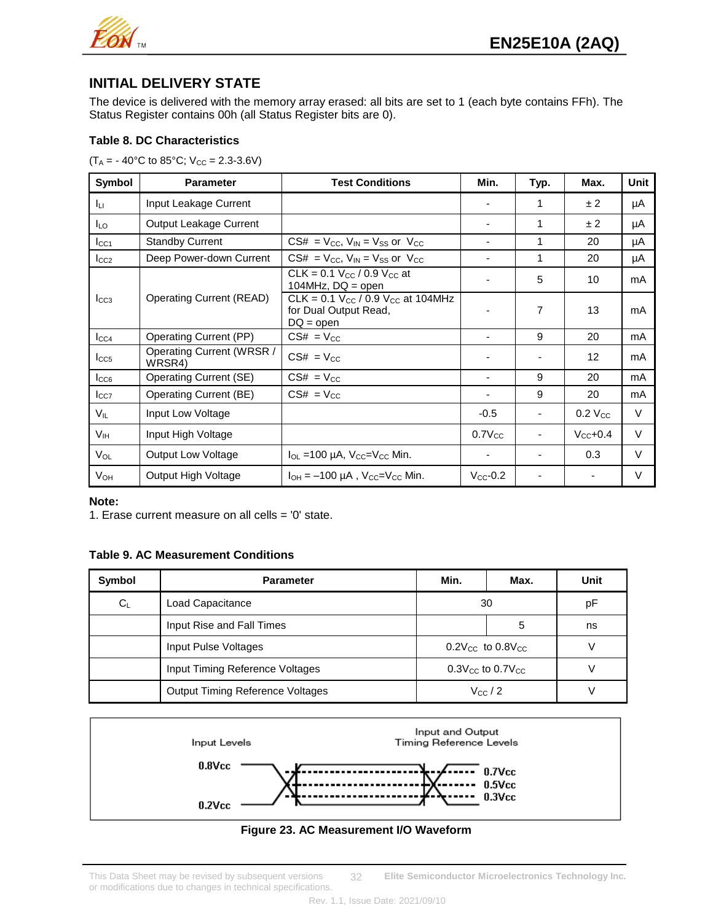

# **INITIAL DELIVERY STATE**

The device is delivered with the memory array erased: all bits are set to 1 (each byte contains FFh). The Status Register contains 00h (all Status Register bits are 0).

## **Table 8. DC Characteristics**

 $(T_A = -40^{\circ}C \text{ to } 85^{\circ}C; V_{CC} = 2.3-3.6V)$ 

| Symbol          | <b>Parameter</b>                    | <b>Test Conditions</b>                                                            | Min.                     | Typ.           | Max.                 | Unit   |
|-----------------|-------------------------------------|-----------------------------------------------------------------------------------|--------------------------|----------------|----------------------|--------|
| Iцг             | Input Leakage Current               |                                                                                   |                          | 1              | ±2                   | μA     |
| $I_{LO}$        | Output Leakage Current              |                                                                                   |                          | 1              | ± 2                  | μA     |
| $I_{CC1}$       | <b>Standby Current</b>              | $CS# = V_{CC}$ , $V_{IN} = V_{SS}$ or $V_{CC}$                                    | ٠                        | 1              | 20                   | μA     |
| $I_{CC2}$       | Deep Power-down Current             | $CS# = V_{CC}$ , $V_{IN} = V_{SS}$ or $V_{CC}$                                    | ٠                        | 1              | 20                   | μA     |
|                 |                                     | CLK = 0.1 $V_{CC}$ / 0.9 $V_{CC}$ at<br>104MHz, $DQ = open$                       |                          | 5              | 10                   | mA     |
| $I_{CC3}$       | <b>Operating Current (READ)</b>     | CLK = $0.1 V_{CC} / 0.9 V_{CC}$ at 104MHz<br>for Dual Output Read,<br>$DQ = open$ |                          | $\overline{7}$ | 13                   | mA     |
| $I_{CC4}$       | Operating Current (PP)              | $CS# = V_{CC}$                                                                    | $\overline{\phantom{0}}$ | 9              | 20                   | mA     |
| $I_{CC5}$       | Operating Current (WRSR /<br>WRSR4) | $CS# = V_{CC}$                                                                    |                          |                | 12                   | mA     |
| $I_{CC6}$       | Operating Current (SE)              | $CS# = V_{CC}$                                                                    | $\blacksquare$           | 9              | 20                   | mA     |
| $I_{CC7}$       | Operating Current (BE)              | $CS# = V_{CC}$                                                                    | ٠                        | 9              | 20                   | mA     |
| $V_{IL}$        | Input Low Voltage                   |                                                                                   | $-0.5$                   |                | $0.2$ $V_{CC}$       | $\vee$ |
| V <sub>IH</sub> | Input High Voltage                  |                                                                                   | $0.7V_{CC}$              |                | $V_{\text{CC}}$ +0.4 | $\vee$ |
| Vol             | <b>Output Low Voltage</b>           | $I_{OL}$ =100 µA, $V_{CC}$ = $V_{CC}$ Min.                                        |                          |                | 0.3                  | $\vee$ |
| $V_{OH}$        | Output High Voltage                 | $I_{OH} = -100 \mu A$ , $V_{CC} = V_{CC}$ Min.                                    | $V_{CC}$ -0.2            |                |                      | V      |

#### **Note:**

1. Erase current measure on all cells = '0' state.

## **Table 9. AC Measurement Conditions**

| Symbol | <b>Parameter</b>                        | Min. | Max.                                           | Unit |
|--------|-----------------------------------------|------|------------------------------------------------|------|
| $C_L$  | Load Capacitance                        |      | 30                                             | рF   |
|        | Input Rise and Fall Times               |      | 5                                              | ns   |
|        | Input Pulse Voltages                    |      | $0.2$ V <sub>cc</sub> to $0.8$ V <sub>cc</sub> |      |
|        | Input Timing Reference Voltages         |      | $0.3$ V <sub>cc</sub> to $0.7$ V <sub>cc</sub> |      |
|        | <b>Output Timing Reference Voltages</b> |      | $V_{\rm CC}$ / 2                               |      |



## **Figure 23. AC Measurement I/O Waveform**

This Data Sheet may be revised by subsequent versions **Elite Semiconductor Microelectronics Technology Inc.** or modifications due to changes in technical specifications. 32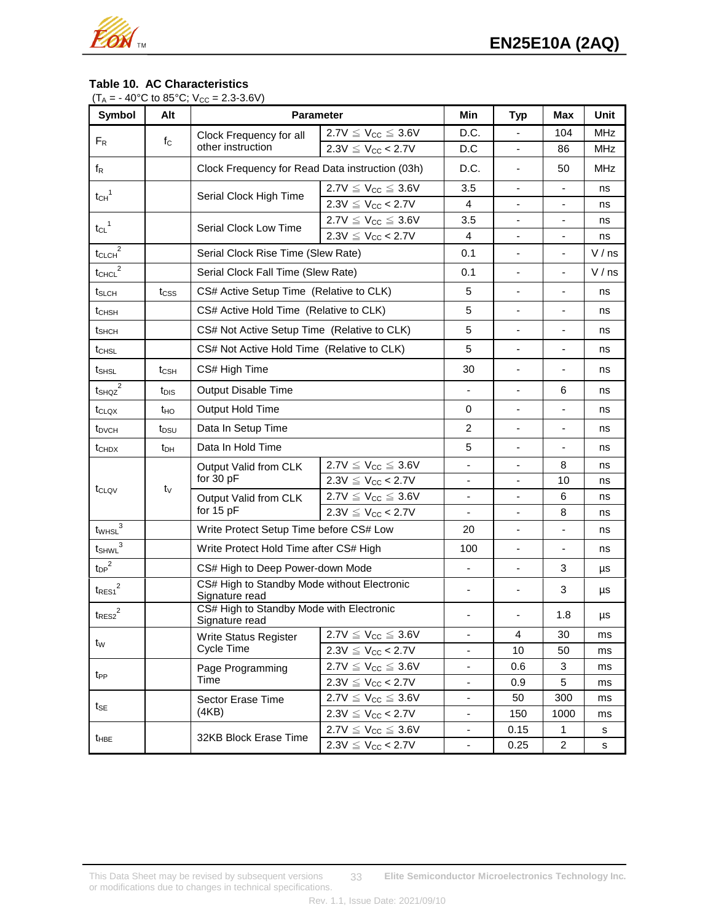

## **Table 10. AC Characteristics**

| $(T_A = -40^{\circ}C \text{ to } 85^{\circ}C; V_{CC} = 2.3-3.6V)$ |  |  |  |  |  |  |
|-------------------------------------------------------------------|--|--|--|--|--|--|
|-------------------------------------------------------------------|--|--|--|--|--|--|

| <b>Symbol</b>                                 | Alt              | <b>Parameter</b>                                              |                              | <b>Min</b>                   | <b>Typ</b>                   | Max                      | Unit       |
|-----------------------------------------------|------------------|---------------------------------------------------------------|------------------------------|------------------------------|------------------------------|--------------------------|------------|
|                                               | $f_{\rm C}$      | Clock Frequency for all                                       | $2.7V \leq V_{CC} \leq 3.6V$ | D.C.                         |                              | 104                      | <b>MHz</b> |
| $F_R$                                         |                  | other instruction                                             | $2.3V \le V_{CC} < 2.7V$     | D.C                          |                              | 86                       | <b>MHz</b> |
| $f_{\mathsf{R}}$                              |                  | Clock Frequency for Read Data instruction (03h)               |                              | D.C.                         |                              | 50                       | <b>MHz</b> |
| $t_{CH}$ <sup>1</sup>                         |                  | Serial Clock High Time                                        | $2.7V \leq V_{CC} \leq 3.6V$ | 3.5                          |                              |                          | ns         |
|                                               |                  |                                                               | $2.3V \le V_{CC} < 2.7V$     | 4                            |                              |                          | ns         |
| $t_{CL}$ <sup>1</sup>                         |                  | Serial Clock Low Time                                         | $2.7V \leq V_{CC} \leq 3.6V$ | 3.5                          | $\overline{\phantom{a}}$     | $\overline{\phantom{a}}$ | ns         |
|                                               |                  |                                                               | $2.3V \le V_{CC} < 2.7V$     | 4                            |                              |                          | ns         |
| $t_{CLCH}^2$                                  |                  | Serial Clock Rise Time (Slew Rate)                            |                              | 0.1                          |                              |                          | V/ns       |
| $t_{CHCL}^2$                                  |                  | Serial Clock Fall Time (Slew Rate)                            |                              | 0.1                          |                              |                          | V/ns       |
| t <sub>SLCH</sub>                             | t <sub>css</sub> | CS# Active Setup Time (Relative to CLK)                       |                              | 5                            | $\overline{\phantom{m}}$     |                          | ns         |
| t <sub>CHSH</sub>                             |                  | CS# Active Hold Time (Relative to CLK)                        |                              | 5                            | $\overline{\phantom{a}}$     | $\blacksquare$           | ns         |
| tshch                                         |                  | CS# Not Active Setup Time (Relative to CLK)                   |                              | 5                            |                              |                          | ns         |
| $t_{\text{CHSL}}$                             |                  | CS# Not Active Hold Time (Relative to CLK)                    |                              | 5                            |                              |                          | ns         |
| t <sub>SHSL</sub>                             | t <sub>CSH</sub> | CS# High Time                                                 | 30                           |                              |                              | ns                       |            |
| $t_{SHQZ}^2$                                  | t <sub>DIS</sub> | Output Disable Time                                           |                              |                              | 6                            | ns                       |            |
| $t_{\text{CLQX}}$                             | t <sub>HO</sub>  | Output Hold Time                                              | 0                            | $\blacksquare$               | $\blacksquare$               | ns                       |            |
| t <sub>DVCH</sub>                             | tpsu             | Data In Setup Time                                            | $\overline{c}$               | $\qquad \qquad \blacksquare$ | $\overline{\phantom{a}}$     | ns                       |            |
| t <sub>CHDX</sub>                             | t <sub>DH</sub>  | Data In Hold Time                                             |                              | 5                            |                              |                          | ns         |
|                                               |                  | Output Valid from CLK                                         | $2.7V \leq V_{CC} \leq 3.6V$ | $\overline{\phantom{a}}$     | $\overline{\phantom{a}}$     | 8                        | ns         |
|                                               | tv               | for 30 pF                                                     | $2.3V \le V_{CC} < 2.7V$     | $\blacksquare$               |                              | 10                       | ns         |
| t <sub>CLQV</sub>                             |                  | Output Valid from CLK                                         | $2.7V \leq V_{CC} \leq 3.6V$ | $\overline{\phantom{a}}$     |                              | 6                        | ns         |
|                                               |                  | for $15$ pF                                                   | $2.3V \le V_{CC} < 2.7V$     | $\blacksquare$               | $\overline{\phantom{0}}$     | 8                        | ns         |
| $t_{\text{WHSL}}^3$                           |                  | Write Protect Setup Time before CS# Low                       |                              | 20                           |                              |                          | ns         |
| $t_{\mathsf{SHWL}}^{\mathsf{3}}$              |                  | Write Protect Hold Time after CS# High                        |                              | 100                          | $\overline{\phantom{a}}$     | $\blacksquare$           | ns         |
| $t_{DP}^2$                                    |                  | CS# High to Deep Power-down Mode                              |                              | $\overline{\phantom{a}}$     | $\overline{\phantom{m}}$     | 3                        | μs         |
| ${\ensuremath{{\mathsf{t}_\mathsf{RES1}}}^2}$ |                  | CS# High to Standby Mode without Electronic<br>Signature read |                              | $\blacksquare$               | $\qquad \qquad \blacksquare$ | 3                        | μs         |
| ${\rm t_{RES2}}^2$                            |                  | CS# High to Standby Mode with Electronic<br>Signature read    |                              |                              |                              | 1.8                      | μs         |
| tw                                            |                  | <b>Write Status Register</b>                                  | $2.7V \leq V_{CC} \leq 3.6V$ | $\blacksquare$               | 4                            | 30                       | ms         |
|                                               |                  | Cycle Time                                                    | $2.3V \le V_{CC} < 2.7V$     |                              | 10                           | 50                       | ms         |
| t <sub>PP</sub>                               |                  | Page Programming                                              | $2.7V \leq V_{CC} \leq 3.6V$ | $\overline{\phantom{a}}$     | 0.6                          | 3                        | ms         |
|                                               |                  | Time                                                          | $2.3V \le V_{CC} < 2.7V$     | $\overline{\phantom{a}}$     | 0.9                          | 5                        | ms         |
| t <sub>SE</sub>                               |                  | Sector Erase Time                                             | $2.7V \leq V_{CC} \leq 3.6V$ |                              | 50                           | 300                      | ms         |
|                                               |                  | (4KB)                                                         | $2.3V \le V_{CC}$ < 2.7V     | $\overline{\phantom{a}}$     | 150                          | 1000                     | ms         |
| $t_{\text{HBE}}$                              |                  | 32KB Block Erase Time                                         | $2.7V \leq V_{CC} \leq 3.6V$ | $\overline{\phantom{a}}$     | 0.15                         | 1                        | s          |
|                                               |                  |                                                               | $2.3V \leq V_{CC} < 2.7V$    | $\overline{\phantom{a}}$     | 0.25                         | $\overline{2}$           | s          |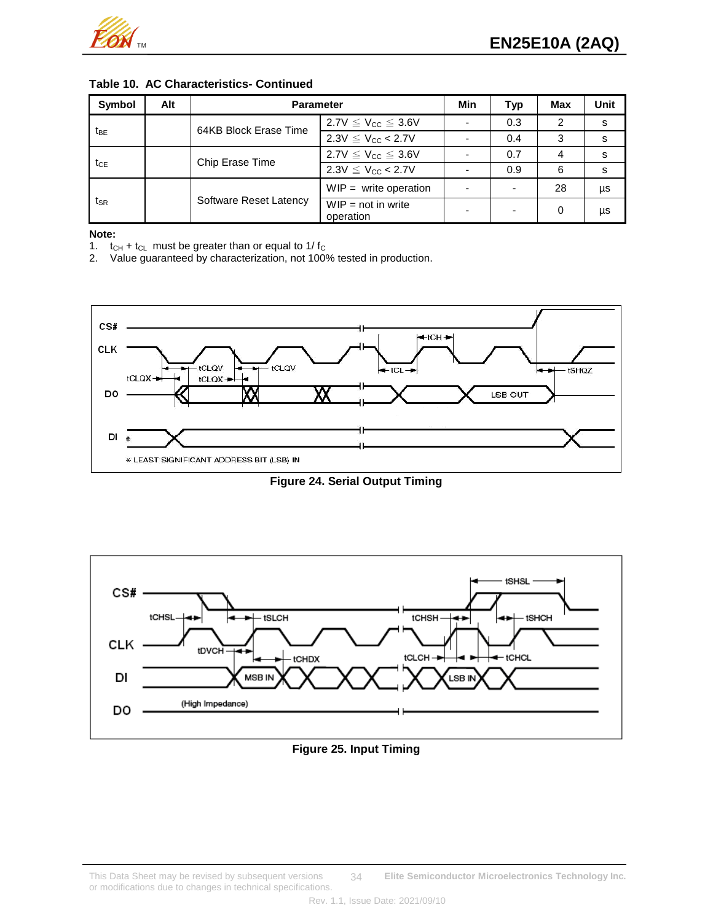

#### **Table 10. AC Characteristics- Continued**

| Symbol          | Alt | <b>Parameter</b>       |                                   |  | Typ                      | Max           | Unit |
|-----------------|-----|------------------------|-----------------------------------|--|--------------------------|---------------|------|
|                 |     | 64KB Block Erase Time  | $2.7V \leq V_{CC} \leq 3.6V$      |  | 0.3                      | $\mathcal{P}$ | s    |
| t <sub>BE</sub> |     |                        | $2.3V \le V_{CC} < 2.7V$          |  | 0.4                      | 3             | S    |
| t <sub>CE</sub> |     | Chip Erase Time        | $2.7V \leq V_{CC} \leq 3.6V$      |  | 0.7                      | 4             | s    |
|                 |     |                        | $2.3V \le V_{CC} < 2.7V$          |  | 0.9                      | 6             | s    |
|                 |     | Software Reset Latency | $WIP =$ write operation           |  | $\overline{\phantom{0}}$ | 28            | μs   |
| tsr             |     |                        | $WIP = not in write$<br>operation |  | $\overline{\phantom{0}}$ | 0             | μs   |

#### **Note:**

1.  $t_{CH} + t_{CL}$  must be greater than or equal to 1/  $t_{C}$ <br>2. Value quaranteed by characterization, not 1009

Value guaranteed by characterization, not 100% tested in production.



**Figure 24. Serial Output Timing**



#### **Figure 25. Input Timing**

This Data Sheet may be revised by subsequent versions **Elite Semiconductor Microelectronics Technology Inc.** or modifications due to changes in technical specifications. 34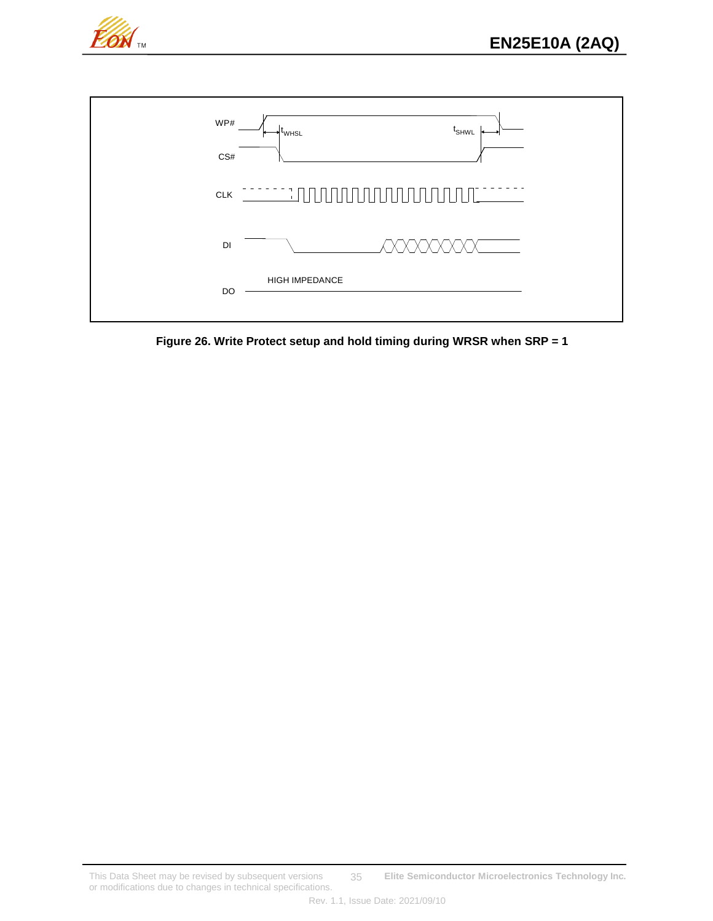



**Figure 26. Write Protect setup and hold timing during WRSR when SRP = 1**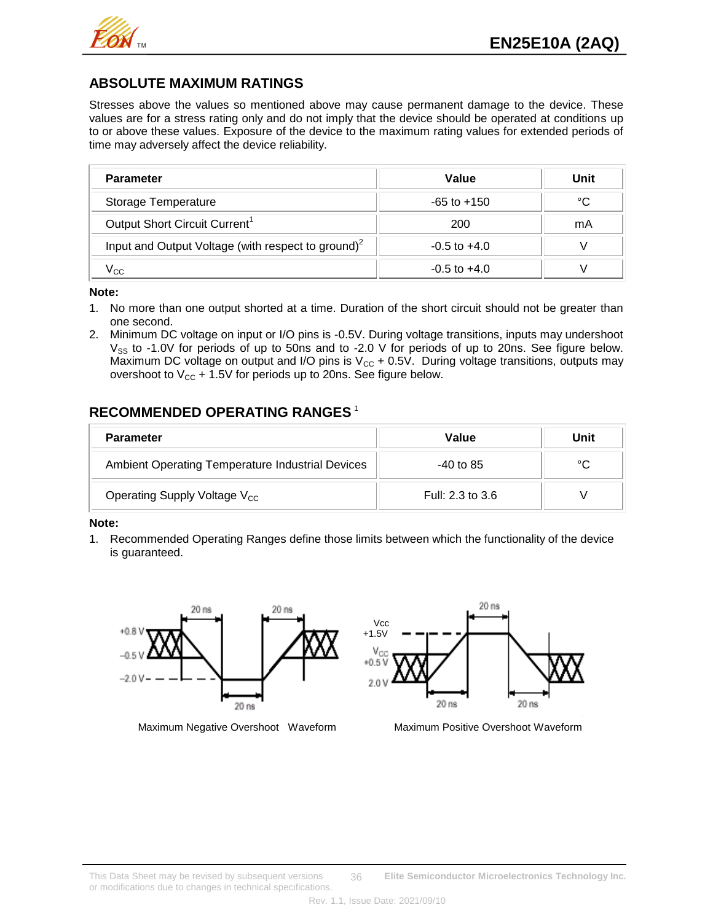

## **ABSOLUTE MAXIMUM RATINGS**

Stresses above the values so mentioned above may cause permanent damage to the device. These values are for a stress rating only and do not imply that the device should be operated at conditions up to or above these values. Exposure of the device to the maximum rating values for extended periods of time may adversely affect the device reliability.

| <b>Parameter</b>                                               | Value            | Unit |
|----------------------------------------------------------------|------------------|------|
| Storage Temperature                                            | $-65$ to $+150$  | °C   |
| Output Short Circuit Current <sup>1</sup>                      | 200              | mA   |
| Input and Output Voltage (with respect to ground) <sup>2</sup> | $-0.5$ to $+4.0$ |      |
| y cc                                                           | $-0.5$ to $+4.0$ |      |

**Note:**

- 1. No more than one output shorted at a time. Duration of the short circuit should not be greater than one second.
- 2. Minimum DC voltage on input or I/O pins is -0.5V. During voltage transitions, inputs may undershoot  $V_{SS}$  to -1.0V for periods of up to 50ns and to -2.0 V for periods of up to 20ns. See figure below. Maximum DC voltage on output and I/O pins is  $V_{CC}$  + 0.5V. During voltage transitions, outputs may overshoot to  $V_{CC}$  + 1.5V for periods up to 20ns. See figure below.

# **RECOMMENDED OPERATING RANGES** <sup>1</sup>

| <b>Parameter</b>                                 | Value            | Unit |
|--------------------------------------------------|------------------|------|
| Ambient Operating Temperature Industrial Devices | -40 to 85        | °C   |
| Operating Supply Voltage V <sub>CC</sub>         | Full: 2.3 to 3.6 |      |

#### **Note:**

1. Recommended Operating Ranges define those limits between which the functionality of the device is guaranteed.



Maximum Negative Overshoot Waveform Maximum Positive Overshoot Waveform

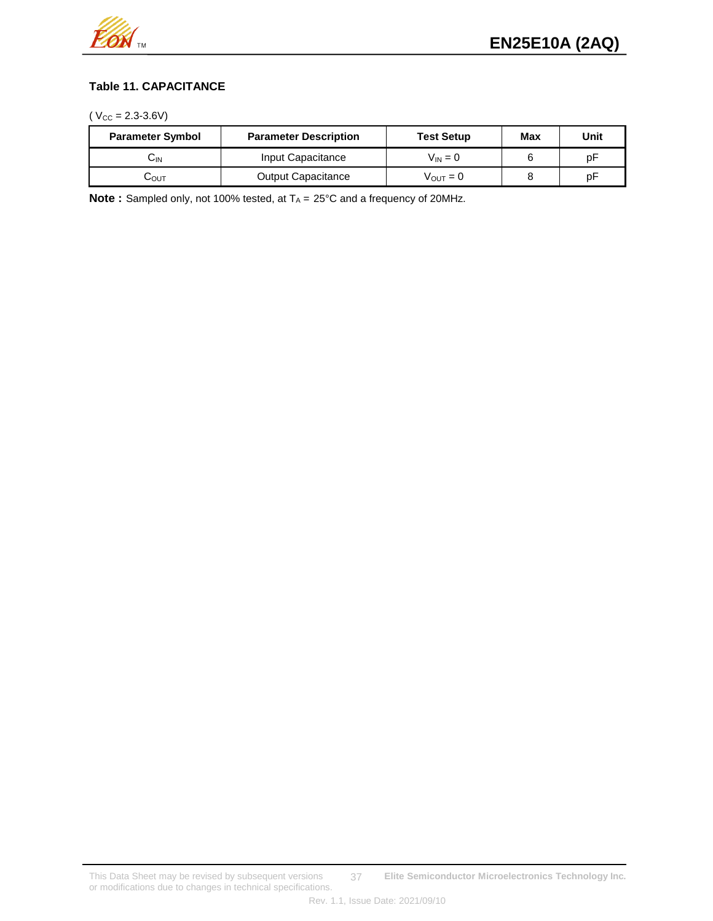

## **Table 11. CAPACITANCE**

 $(V_{CC} = 2.3 - 3.6V)$ 

| <b>Parameter Symbol</b> | <b>Parameter Description</b> | <b>Test Setup</b>    | Max | Unit |  |
|-------------------------|------------------------------|----------------------|-----|------|--|
| UN                      | Input Capacitance            | $V_{IN} = 0$         |     | рF   |  |
| UOUT                    | <b>Output Capacitance</b>    | $V_{\text{OUT}} = 0$ |     | рF   |  |

**Note**: Sampled only, not 100% tested, at  $T_A = 25^{\circ}C$  and a frequency of 20MHz.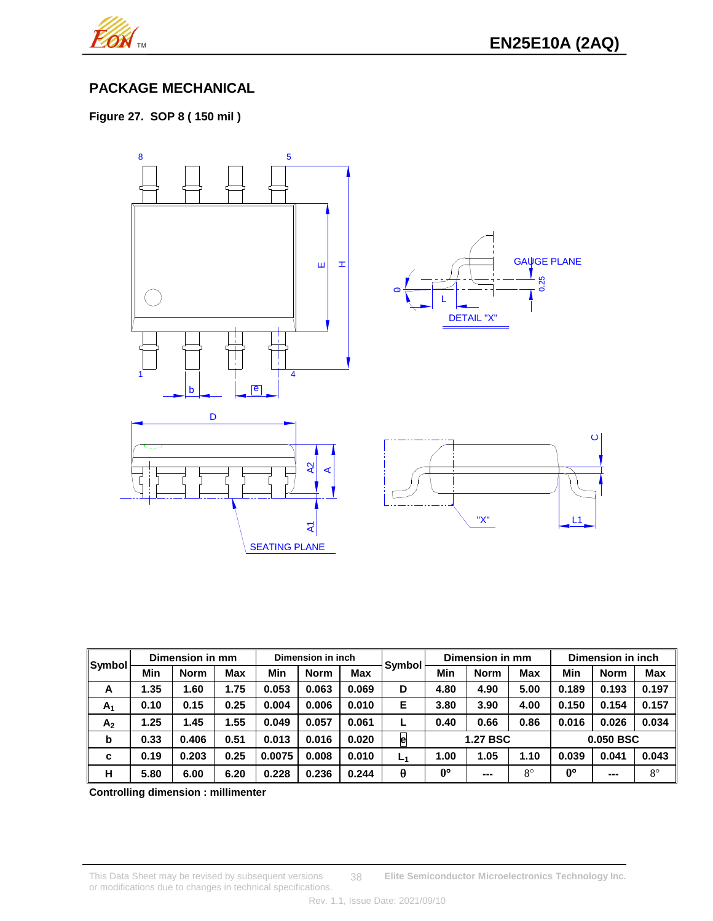

# **PACKAGE MECHANICAL**

**Figure 27. SOP 8 ( 150 mil )**



| <b>Symbol</b>  | Dimension in mm |             |      | Dimension in inch |             |            | Dimension in mm |             |                 | Dimension in inch |             |             |             |
|----------------|-----------------|-------------|------|-------------------|-------------|------------|-----------------|-------------|-----------------|-------------------|-------------|-------------|-------------|
|                | Min             | <b>Norm</b> | Max  | Min               | <b>Norm</b> | <b>Max</b> | Symbol          | Min         | <b>Norm</b>     | <b>Max</b>        | Min         | <b>Norm</b> | <b>Max</b>  |
| A              | 1.35            | 1.60        | 1.75 | 0.053             | 0.063       | 0.069      | D               | 4.80        | 4.90            | 5.00              | 0.189       | 0.193       | 0.197       |
| $A_1$          | 0.10            | 0.15        | 0.25 | 0.004             | 0.006       | 0.010      | Е               | 3.80        | 3.90            | 4.00              | 0.150       | 0.154       | 0.157       |
| A <sub>2</sub> | 1.25            | 1.45        | 1.55 | 0.049             | 0.057       | 0.061      |                 | 0.40        | 0.66            | 0.86              | 0.016       | 0.026       | 0.034       |
| b              | 0.33            | 0.406       | 0.51 | 0.013             | 0.016       | 0.020      | e               |             | <b>1.27 BSC</b> |                   |             | 0.050 BSC   |             |
| c              | 0.19            | 0.203       | 0.25 | 0.0075            | 0.008       | 0.010      | L <sub>1</sub>  | 1.00        | 1.05            | 1.10              | 0.039       | 0.041       | 0.043       |
| н              | 5.80            | 6.00        | 6.20 | 0.228             | 0.236       | 0.244      | θ               | $0^{\circ}$ | ---             | $8^{\circ}$       | $0^{\circ}$ | $- - -$     | $8^{\circ}$ |

**Controlling dimension : millimenter**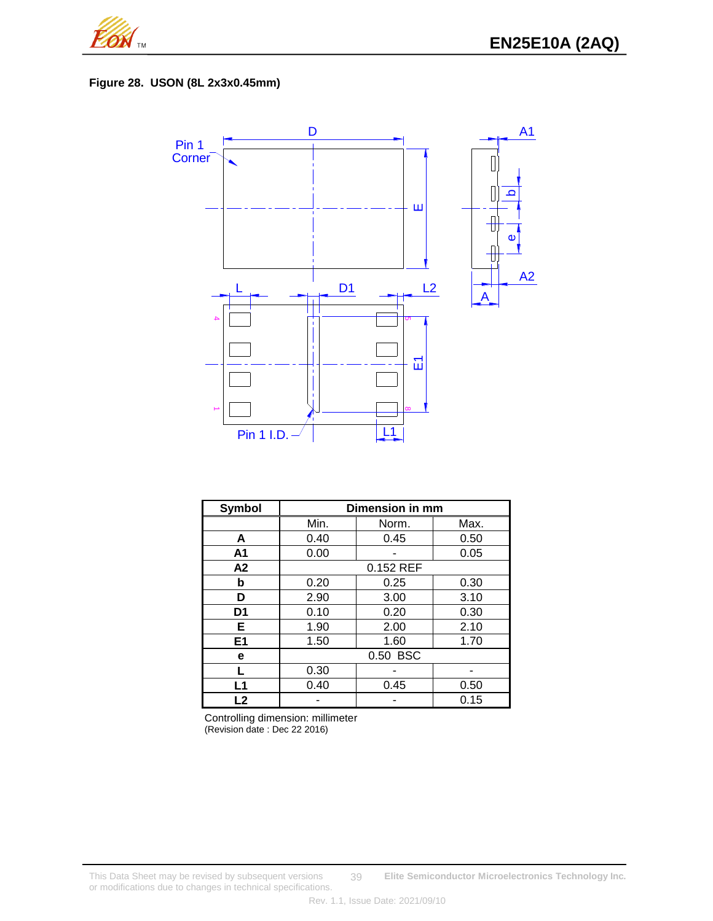

## **Figure 28. USON (8L 2x3x0.45mm)**



| <b>Symbol</b>  | Dimension in mm |       |      |  |  |  |
|----------------|-----------------|-------|------|--|--|--|
|                | Min.            | Norm. | Max. |  |  |  |
| A              | 0.40            | 0.45  | 0.50 |  |  |  |
| A <sub>1</sub> | 0.00            |       | 0.05 |  |  |  |
| A2             | 0.152 REF       |       |      |  |  |  |
| b              | 0.20            | 0.25  | 0.30 |  |  |  |
| D              | 2.90            | 3.00  | 3.10 |  |  |  |
| D <sub>1</sub> | 0.10            | 0.20  | 0.30 |  |  |  |
| Е              | 1.90            | 2.00  | 2.10 |  |  |  |
| E <sub>1</sub> | 1.50            | 1.60  | 1.70 |  |  |  |
| е              | 0.50 BSC        |       |      |  |  |  |
|                | 0.30            |       |      |  |  |  |
| L <sub>1</sub> | 0.40            | 0.45  | 0.50 |  |  |  |
| L2             |                 |       | 0.15 |  |  |  |

Controlling dimension: millimeter (Revision date : Dec 22 2016)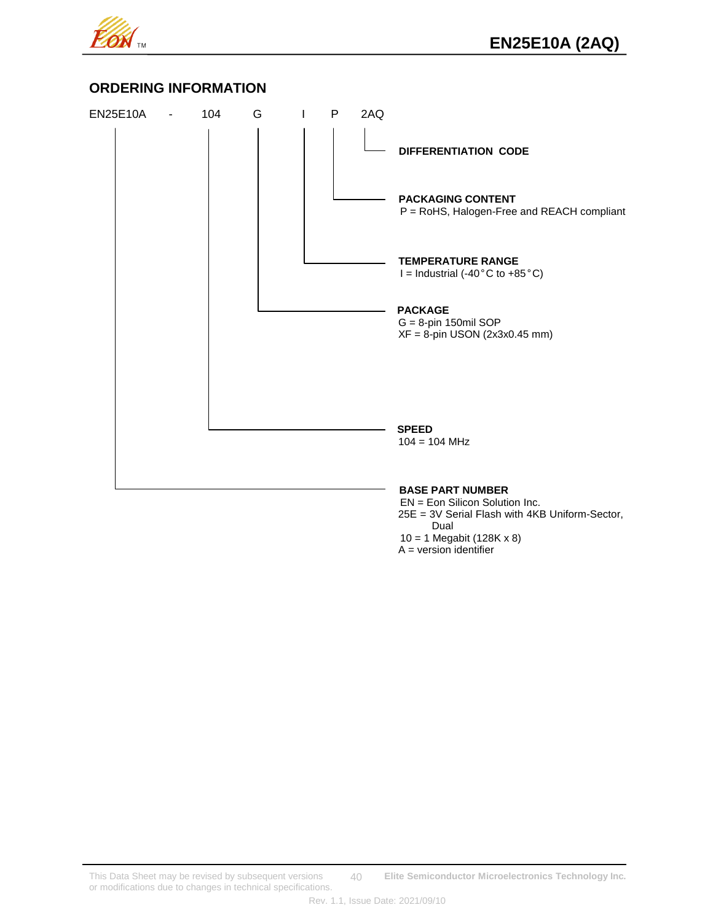

## **ORDERING INFORMATION**



 $A = version$  identifier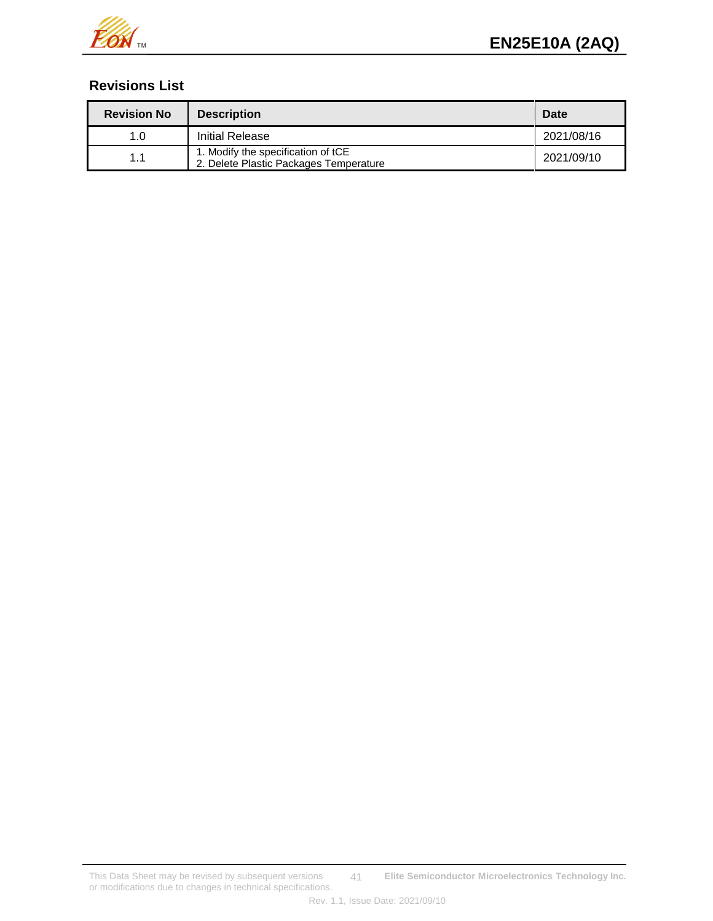

# **Revisions List**

| <b>Revision No</b> | <b>Description</b>                                                           | Date       |
|--------------------|------------------------------------------------------------------------------|------------|
| 1.0                | Initial Release                                                              | 2021/08/16 |
| 1.1                | 1. Modify the specification of tCE<br>2. Delete Plastic Packages Temperature | 2021/09/10 |